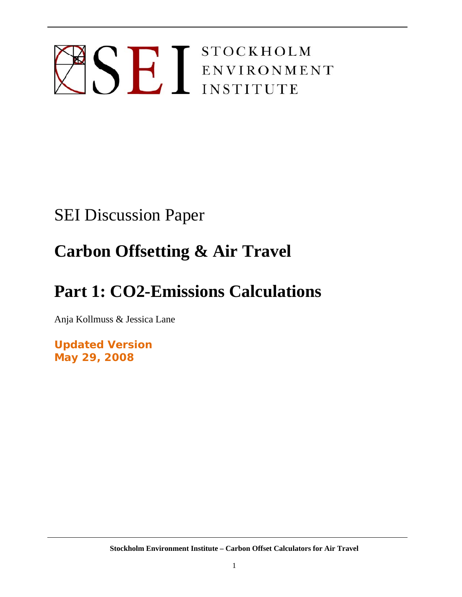# SE I STOCKHOLM ENVIRONMENT

# SEI Discussion Paper

# **Carbon Offsetting & Air Travel**

# **Part 1: CO2-Emissions Calculations**

Anja Kollmuss & Jessica Lane

**Updated Version May 29, 2008**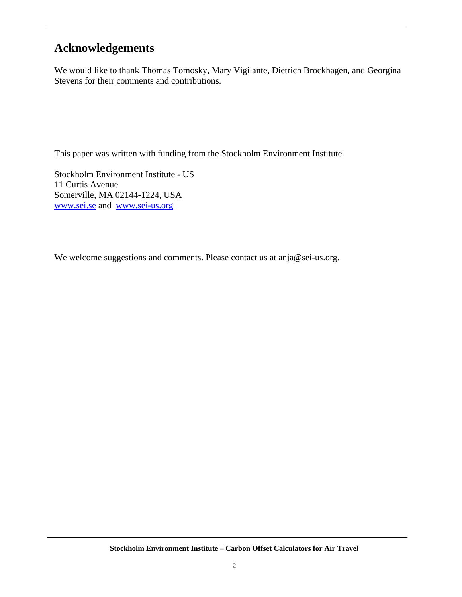# **Acknowledgements**

We would like to thank Thomas Tomosky, Mary Vigilante, Dietrich Brockhagen, and Georgina Stevens for their comments and contributions.

This paper was written with funding from the Stockholm Environment Institute.

Stockholm Environment Institute - US 11 Curtis Avenue Somerville, MA 02144-1224, USA www.sei.se and www.sei-us.org

We welcome suggestions and comments. Please contact us at anja@sei-us.org.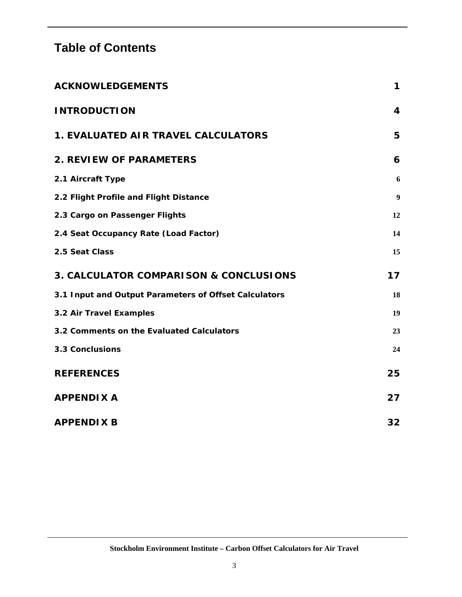# **Table of Contents**

| <b>ACKNOWLEDGEMENTS</b>                               | 1                |
|-------------------------------------------------------|------------------|
| <b>INTRODUCTION</b>                                   | 4                |
| <b>1. EVALUATED AIR TRAVEL CALCULATORS</b>            | 5                |
| <b>2. REVIEW OF PARAMETERS</b>                        | 6                |
| 2.1 Aircraft Type                                     | 6                |
| 2.2 Flight Profile and Flight Distance                | $\boldsymbol{9}$ |
| 2.3 Cargo on Passenger Flights                        | 12               |
| 2.4 Seat Occupancy Rate (Load Factor)                 | 14               |
| 2.5 Seat Class                                        | 15               |
| 3. CALCULATOR COMPARISON & CONCLUSIONS                | 17               |
| 3.1 Input and Output Parameters of Offset Calculators | 18               |
| 3.2 Air Travel Examples                               | 19               |
| 3.2 Comments on the Evaluated Calculators             | 23               |
| <b>3.3 Conclusions</b>                                | 24               |
| <b>REFERENCES</b>                                     | 25               |
| <b>APPENDIX A</b>                                     | 27               |
| <b>APPENDIX B</b>                                     | 32               |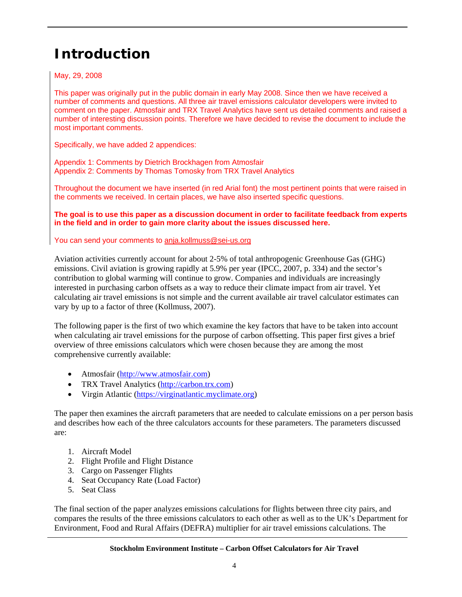# **Introduction**

May, 29, 2008

This paper was originally put in the public domain in early May 2008. Since then we have received a number of comments and questions. All three air travel emissions calculator developers were invited to comment on the paper. Atmosfair and TRX Travel Analytics have sent us detailed comments and raised a number of interesting discussion points. Therefore we have decided to revise the document to include the most important comments.

Specifically, we have added 2 appendices:

Appendix 1: Comments by Dietrich Brockhagen from Atmosfair Appendix 2: Comments by Thomas Tomosky from TRX Travel Analytics

Throughout the document we have inserted (in red Arial font) the most pertinent points that were raised in the comments we received. In certain places, we have also inserted specific questions.

**The goal is to use this paper as a discussion document in order to facilitate feedback from experts in the field and in order to gain more clarity about the issues discussed here.** 

You can send your comments to anja.kollmuss@sei-us.org

Aviation activities currently account for about 2-5% of total anthropogenic Greenhouse Gas (GHG) emissions. Civil aviation is growing rapidly at 5.9% per year (IPCC, 2007, p. 334) and the sector's contribution to global warming will continue to grow. Companies and individuals are increasingly interested in purchasing carbon offsets as a way to reduce their climate impact from air travel. Yet calculating air travel emissions is not simple and the current available air travel calculator estimates can vary by up to a factor of three (Kollmuss, 2007).

The following paper is the first of two which examine the key factors that have to be taken into account when calculating air travel emissions for the purpose of carbon offsetting. This paper first gives a brief overview of three emissions calculators which were chosen because they are among the most comprehensive currently available:

- Atmosfair (http://www.atmosfair.com)
- TRX Travel Analytics (http://carbon.trx.com)
- Virgin Atlantic (https://virginatlantic.myclimate.org)

The paper then examines the aircraft parameters that are needed to calculate emissions on a per person basis and describes how each of the three calculators accounts for these parameters. The parameters discussed are:

- 1. Aircraft Model
- 2. Flight Profile and Flight Distance
- 3. Cargo on Passenger Flights
- 4. Seat Occupancy Rate (Load Factor)
- 5. Seat Class

The final section of the paper analyzes emissions calculations for flights between three city pairs, and compares the results of the three emissions calculators to each other as well as to the UK's Department for Environment, Food and Rural Affairs (DEFRA) multiplier for air travel emissions calculations. The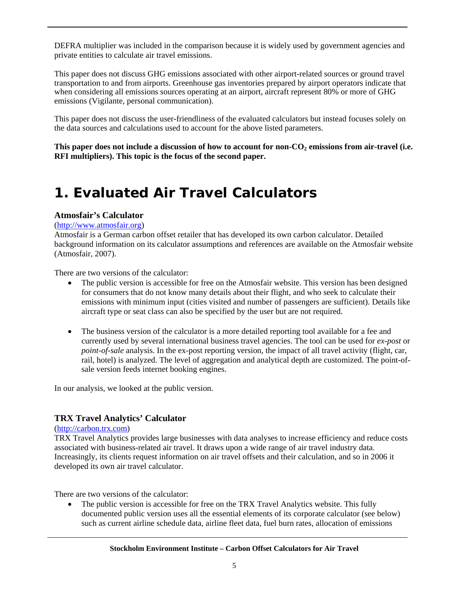DEFRA multiplier was included in the comparison because it is widely used by government agencies and private entities to calculate air travel emissions.

This paper does not discuss GHG emissions associated with other airport-related sources or ground travel transportation to and from airports. Greenhouse gas inventories prepared by airport operators indicate that when considering all emissions sources operating at an airport, aircraft represent 80% or more of GHG emissions (Vigilante, personal communication).

This paper does not discuss the user-friendliness of the evaluated calculators but instead focuses solely on the data sources and calculations used to account for the above listed parameters.

This paper does not include a discussion of how to account for non-CO<sub>2</sub> emissions from air-travel (i.e. **RFI multipliers). This topic is the focus of the second paper.** 

# **1. Evaluated Air Travel Calculators**

#### **Atmosfair's Calculator**

#### (http://www.atmosfair.org)

Atmosfair is a German carbon offset retailer that has developed its own carbon calculator. Detailed background information on its calculator assumptions and references are available on the Atmosfair website (Atmosfair, 2007).

There are two versions of the calculator:

- The public version is accessible for free on the Atmosfair website. This version has been designed for consumers that do not know many details about their flight, and who seek to calculate their emissions with minimum input (cities visited and number of passengers are sufficient). Details like aircraft type or seat class can also be specified by the user but are not required.
- The business version of the calculator is a more detailed reporting tool available for a fee and currently used by several international business travel agencies. The tool can be used for *ex-post* or *point-of-sale* analysis. In the ex-post reporting version, the impact of all travel activity (flight, car, rail, hotel) is analyzed. The level of aggregation and analytical depth are customized. The point-ofsale version feeds internet booking engines.

In our analysis, we looked at the public version.

#### **TRX Travel Analytics' Calculator**

#### (http://carbon.trx.com)

TRX Travel Analytics provides large businesses with data analyses to increase efficiency and reduce costs associated with business-related air travel. It draws upon a wide range of air travel industry data. Increasingly, its clients request information on air travel offsets and their calculation, and so in 2006 it developed its own air travel calculator.

There are two versions of the calculator:

• The public version is accessible for free on the TRX Travel Analytics website. This fully documented public version uses all the essential elements of its corporate calculator (see below) such as current airline schedule data, airline fleet data, fuel burn rates, allocation of emissions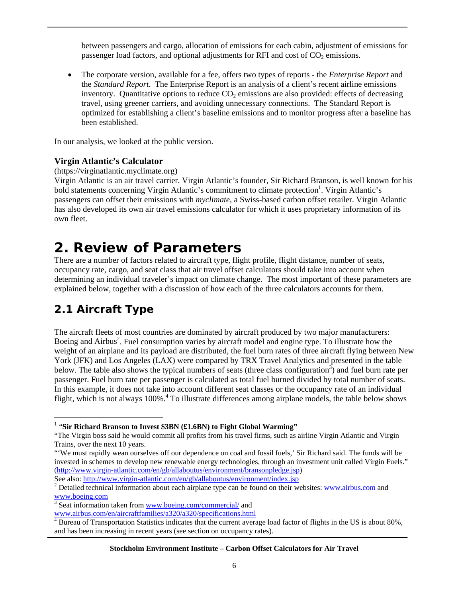between passengers and cargo, allocation of emissions for each cabin, adjustment of emissions for passenger load factors, and optional adjustments for RFI and cost of  $CO<sub>2</sub>$  emissions.

 The corporate version, available for a fee, offers two types of reports - the *Enterprise Report* and the *Standard Report*. The Enterprise Report is an analysis of a client's recent airline emissions inventory. Quantitative options to reduce  $CO<sub>2</sub>$  emissions are also provided: effects of decreasing travel, using greener carriers, and avoiding unnecessary connections. The Standard Report is optimized for establishing a client's baseline emissions and to monitor progress after a baseline has been established.

In our analysis, we looked at the public version.

#### **Virgin Atlantic's Calculator**

(https://virginatlantic.myclimate.org)

Virgin Atlantic is an air travel carrier. Virgin Atlantic's founder, Sir Richard Branson, is well known for his bold statements concerning Virgin Atlantic's commitment to climate protection<sup>1</sup>. Virgin Atlantic's passengers can offset their emissions with *myclimate*, a Swiss-based carbon offset retailer. Virgin Atlantic has also developed its own air travel emissions calculator for which it uses proprietary information of its own fleet.

# **2. Review of Parameters**

There are a number of factors related to aircraft type, flight profile, flight distance, number of seats, occupancy rate, cargo, and seat class that air travel offset calculators should take into account when determining an individual traveler's impact on climate change. The most important of these parameters are explained below, together with a discussion of how each of the three calculators accounts for them.

# **2.1 Aircraft Type**

 $\overline{a}$ 

The aircraft fleets of most countries are dominated by aircraft produced by two major manufacturers: Boeing and Airbus<sup>2</sup>. Fuel consumption varies by aircraft model and engine type. To illustrate how the weight of an airplane and its payload are distributed, the fuel burn rates of three aircraft flying between New York (JFK) and Los Angeles (LAX) were compared by TRX Travel Analytics and presented in the table below. The table also shows the typical numbers of seats (three class configuration<sup>3</sup>) and fuel burn rate per passenger. Fuel burn rate per passenger is calculated as total fuel burned divided by total number of seats. In this example, it does not take into account different seat classes or the occupancy rate of an individual flight, which is not always 100%.<sup>4</sup> To illustrate differences among airplane models, the table below shows

See also: http://www.virgin-atlantic.com/en/gb/allaboutus/environment/index.jsp

<sup>1</sup> "**Sir Richard Branson to Invest \$3BN (£1.6BN) to Fight Global Warming"** 

<sup>&</sup>quot;The Virgin boss said he would commit all profits from his travel firms, such as airline Virgin Atlantic and Virgin Trains, over the next 10 years.

<sup>&</sup>quot;'We must rapidly wean ourselves off our dependence on coal and fossil fuels,' Sir Richard said. The funds will be invested in schemes to develop new renewable energy technologies, through an investment unit called Virgin Fuels." (http://www.virgin-atlantic.com/en/gb/allaboutus/environment/bransonpledge.jsp)

<sup>&</sup>lt;sup>2</sup> Detailed technical information about each airplane type can be found on their websites: www.airbus.com and www.boeing.com

<sup>&</sup>lt;sup>3</sup> Seat information taken from www.boeing.com/commercial/ and

www.airbus.com/en/aircraftfamilies/a320/a320/specifications.html 4 Bureau of Transportation Statistics indicates that the current average load factor of flights in the US is about 80%, and has been increasing in recent years (see section on occupancy rates).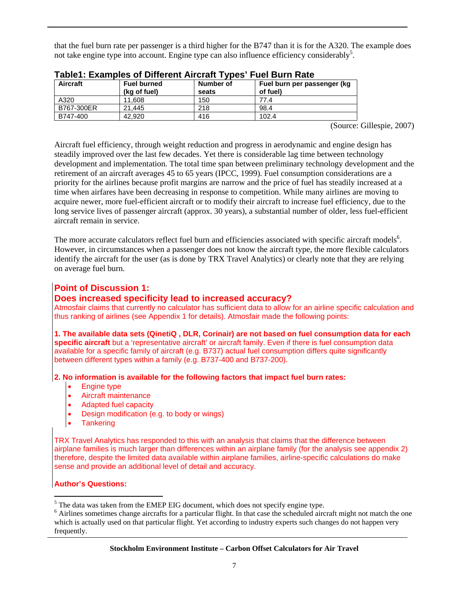that the fuel burn rate per passenger is a third higher for the B747 than it is for the A320. The example does not take engine type into account. Engine type can also influence efficiency considerably<sup>5</sup>.

| Aircraft   | <b>Fuel burned</b><br>(kg of fuel) | Number of<br>seats | Fuel burn per passenger (kg<br>of fuel) |
|------------|------------------------------------|--------------------|-----------------------------------------|
| A320       | 11.608                             | 150                | 77.4                                    |
| B767-300ER | 21.445                             | 218                | 98.4                                    |
| B747-400   | 42.920                             | 416                | 102.4                                   |

| Table1: Examples of Different Aircraft Types' Fuel Burn Rate |
|--------------------------------------------------------------|
|--------------------------------------------------------------|

(Source: Gillespie, 2007)

Aircraft fuel efficiency, through weight reduction and progress in aerodynamic and engine design has steadily improved over the last few decades. Yet there is considerable lag time between technology development and implementation. The total time span between preliminary technology development and the retirement of an aircraft averages 45 to 65 years (IPCC, 1999). Fuel consumption considerations are a priority for the airlines because profit margins are narrow and the price of fuel has steadily increased at a time when airfares have been decreasing in response to competition. While many airlines are moving to acquire newer, more fuel-efficient aircraft or to modify their aircraft to increase fuel efficiency, due to the long service lives of passenger aircraft (approx. 30 years), a substantial number of older, less fuel-efficient aircraft remain in service.

The more accurate calculators reflect fuel burn and efficiencies associated with specific aircraft models<sup>6</sup>. However, in circumstances when a passenger does not know the aircraft type, the more flexible calculators identify the aircraft for the user (as is done by TRX Travel Analytics) or clearly note that they are relying on average fuel burn.

#### **Point of Discussion 1:**

#### **Does increased specificity lead to increased accuracy?**

Atmosfair claims that currently no calculator has sufficient data to allow for an airline specific calculation and thus ranking of airlines (see Appendix 1 for details). Atmosfair made the following points:

**1. The available data sets (QinetiQ , DLR, Corinair) are not based on fuel consumption data for each specific aircraft** but a 'representative aircraft' or aircraft family. Even if there is fuel consumption data available for a specific family of aircraft (e.g. B737) actual fuel consumption differs quite significantly between different types within a family (e.g. B737-400 and B737-200).

#### **2. No information is available for the following factors that impact fuel burn rates:**

- Engine type
- Aircraft maintenance<br>• Adapted fuel capacity
- Adapted fuel capacity<br>• Design modification (e
- Design modification (e.g. to body or wings)<br>• Tankering
- **Tankering**

TRX Travel Analytics has responded to this with an analysis that claims that the difference between airplane families is much larger than differences within an airplane family (for the analysis see appendix 2) therefore, despite the limited data available within airplane families, airline-specific calculations do make sense and provide an additional level of detail and accuracy.

#### **Author's Questions:**

 $\overline{a}$ 

 $<sup>5</sup>$  The data was taken from the EMEP EIG document, which does not specify engine type.</sup>

<sup>&</sup>lt;sup>6</sup> Airlines sometimes change aircrafts for a particular flight. In that case the scheduled aircraft might not match the one which is actually used on that particular flight. Yet according to industry experts such changes do not happen very frequently.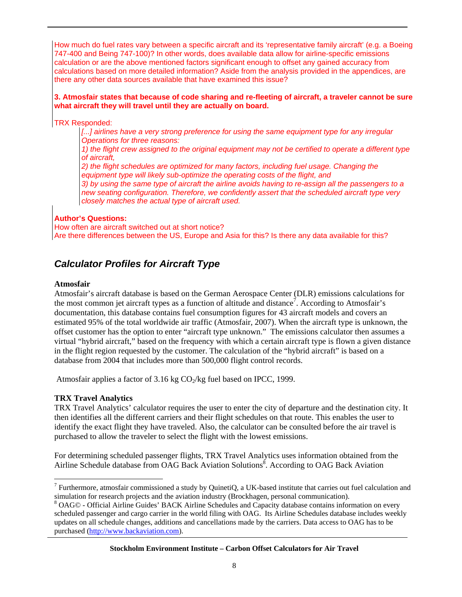How much do fuel rates vary between a specific aircraft and its 'representative family aircraft' (e.g. a Boeing 747-400 and Being 747-100)? In other words, does available data allow for airline-specific emissions calculation or are the above mentioned factors significant enough to offset any gained accuracy from calculations based on more detailed information? Aside from the analysis provided in the appendices, are there any other data sources available that have examined this issue?

#### **3. Atmosfair states that because of code sharing and re-fleeting of aircraft, a traveler cannot be sure what aircraft they will travel until they are actually on board.**

TRX Responded:

[...] airlines have a very strong preference for using the same equipment type for any irregular *Operations for three reasons:* 

*1) the flight crew assigned to the original equipment may not be certified to operate a different type of aircraft,* 

*2) the flight schedules are optimized for many factors, including fuel usage. Changing the equipment type will likely sub-optimize the operating costs of the flight, and* 

*3) by using the same type of aircraft the airline avoids having to re-assign all the passengers to a new seating configuration. Therefore, we confidently assert that the scheduled aircraft type very closely matches the actual type of aircraft used.* 

#### **Author's Questions:**

How often are aircraft switched out at short notice? Are there differences between the US, Europe and Asia for this? Is there any data available for this?

## *Calculator Profiles for Aircraft Type*

#### **Atmosfair**

Atmosfair's aircraft database is based on the German Aerospace Center (DLR) emissions calculations for the most common jet aircraft types as a function of altitude and distance<sup>7</sup>. According to Atmosfair's documentation, this database contains fuel consumption figures for 43 aircraft models and covers an estimated 95% of the total worldwide air traffic (Atmosfair, 2007). When the aircraft type is unknown, the offset customer has the option to enter "aircraft type unknown." The emissions calculator then assumes a virtual "hybrid aircraft," based on the frequency with which a certain aircraft type is flown a given distance in the flight region requested by the customer. The calculation of the "hybrid aircraft" is based on a database from 2004 that includes more than 500,000 flight control records.

Atmosfair applies a factor of  $3.16 \text{ kg CO}$ /kg fuel based on IPCC, 1999.

#### **TRX Travel Analytics**

 $\overline{a}$ 

TRX Travel Analytics' calculator requires the user to enter the city of departure and the destination city. It then identifies all the different carriers and their flight schedules on that route. This enables the user to identify the exact flight they have traveled. Also, the calculator can be consulted before the air travel is purchased to allow the traveler to select the flight with the lowest emissions.

For determining scheduled passenger flights, TRX Travel Analytics uses information obtained from the Airline Schedule database from OAG Back Aviation Solutions<sup>8</sup>. According to OAG Back Aviation

<sup>&</sup>lt;sup>7</sup> Furthermore, atmosfair commissioned a study by QuinetiQ, a UK-based institute that carries out fuel calculation and simulation for research projects and the aviation industry (Brockhagen, personal communication).

<sup>&</sup>lt;sup>8</sup> OAG© - Official Airline Guides' BACK Airline Schedules and Capacity database contains information on every scheduled passenger and cargo carrier in the world filing with OAG. Its Airline Schedules database includes weekly updates on all schedule changes, additions and cancellations made by the carriers. Data access to OAG has to be purchased (http://www.backaviation.com).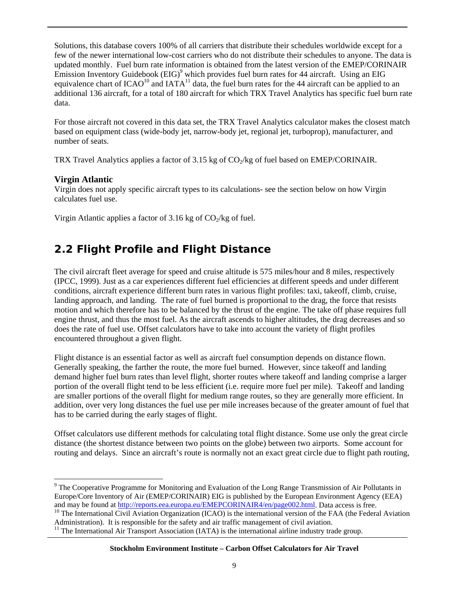Solutions, this database covers 100% of all carriers that distribute their schedules worldwide except for a few of the newer international low-cost carriers who do not distribute their schedules to anyone. The data is updated monthly. Fuel burn rate information is obtained from the latest version of the EMEP/CORINAIR Emission Inventory Guidebook (EIG)<sup>9</sup> which provides fuel burn rates for 44 aircraft. Using an EIG equivalence chart of  $ICAO^{10}$  and  $IATA^{11}$  data, the fuel burn rates for the 44 aircraft can be applied to an additional 136 aircraft, for a total of 180 aircraft for which TRX Travel Analytics has specific fuel burn rate data.

For those aircraft not covered in this data set, the TRX Travel Analytics calculator makes the closest match based on equipment class (wide-body jet, narrow-body jet, regional jet, turboprop), manufacturer, and number of seats.

TRX Travel Analytics applies a factor of 3.15 kg of  $CO<sub>2</sub>/kg$  of fuel based on EMEP/CORINAIR.

#### **Virgin Atlantic**

 $\overline{a}$ 

Virgin does not apply specific aircraft types to its calculations- see the section below on how Virgin calculates fuel use.

Virgin Atlantic applies a factor of 3.16 kg of  $CO<sub>2</sub>/kg$  of fuel.

## **2.2 Flight Profile and Flight Distance**

The civil aircraft fleet average for speed and cruise altitude is 575 miles/hour and 8 miles, respectively (IPCC, 1999). Just as a car experiences different fuel efficiencies at different speeds and under different conditions, aircraft experience different burn rates in various flight profiles: taxi, takeoff, climb, cruise, landing approach, and landing. The rate of fuel burned is proportional to the drag, the force that resists motion and which therefore has to be balanced by the thrust of the engine. The take off phase requires full engine thrust, and thus the most fuel. As the aircraft ascends to higher altitudes, the drag decreases and so does the rate of fuel use. Offset calculators have to take into account the variety of flight profiles encountered throughout a given flight.

Flight distance is an essential factor as well as aircraft fuel consumption depends on distance flown. Generally speaking, the farther the route, the more fuel burned. However, since takeoff and landing demand higher fuel burn rates than level flight, shorter routes where takeoff and landing comprise a larger portion of the overall flight tend to be less efficient (i.e. require more fuel per mile). Takeoff and landing are smaller portions of the overall flight for medium range routes, so they are generally more efficient. In addition, over very long distances the fuel use per mile increases because of the greater amount of fuel that has to be carried during the early stages of flight.

Offset calculators use different methods for calculating total flight distance. Some use only the great circle distance (the shortest distance between two points on the globe) between two airports. Some account for routing and delays. Since an aircraft's route is normally not an exact great circle due to flight path routing,

<sup>&</sup>lt;sup>9</sup> The Cooperative Programme for Monitoring and Evaluation of the Long Range Transmission of Air Pollutants in Europe/Core Inventory of Air (EMEP/CORINAIR) EIG is published by the European Environment Agency (EEA) and may be found at http://reports.eea.europa.eu/EMEPCORINAIR4/en/page002.html. Data access is free.<br><sup>10</sup> The International Civil Aviation Organization (ICAO) is the international version of the FAA (the Federal Aviation

Administration). It is responsible for the safety and air traffic management of civil aviation.

<sup>&</sup>lt;sup>11</sup> The International Air Transport Association (IATA) is the international airline industry trade group.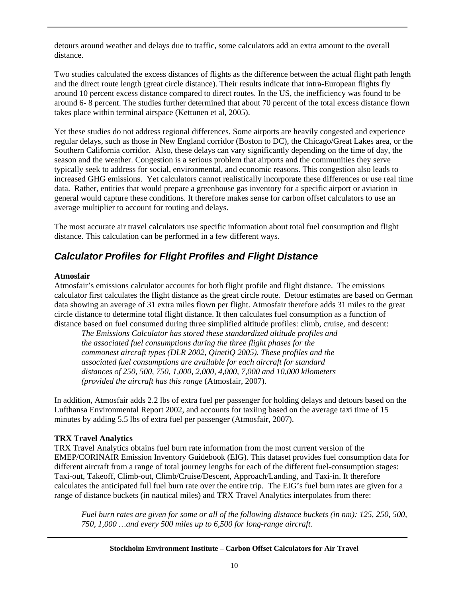detours around weather and delays due to traffic, some calculators add an extra amount to the overall distance.

Two studies calculated the excess distances of flights as the difference between the actual flight path length and the direct route length (great circle distance). Their results indicate that intra-European flights fly around 10 percent excess distance compared to direct routes. In the US, the inefficiency was found to be around 6- 8 percent. The studies further determined that about 70 percent of the total excess distance flown takes place within terminal airspace (Kettunen et al, 2005).

Yet these studies do not address regional differences. Some airports are heavily congested and experience regular delays, such as those in New England corridor (Boston to DC), the Chicago/Great Lakes area, or the Southern California corridor. Also, these delays can vary significantly depending on the time of day, the season and the weather. Congestion is a serious problem that airports and the communities they serve typically seek to address for social, environmental, and economic reasons. This congestion also leads to increased GHG emissions. Yet calculators cannot realistically incorporate these differences or use real time data. Rather, entities that would prepare a greenhouse gas inventory for a specific airport or aviation in general would capture these conditions. It therefore makes sense for carbon offset calculators to use an average multiplier to account for routing and delays.

The most accurate air travel calculators use specific information about total fuel consumption and flight distance. This calculation can be performed in a few different ways.

## *Calculator Profiles for Flight Profiles and Flight Distance*

#### **Atmosfair**

Atmosfair's emissions calculator accounts for both flight profile and flight distance. The emissions calculator first calculates the flight distance as the great circle route. Detour estimates are based on German data showing an average of 31 extra miles flown per flight. Atmosfair therefore adds 31 miles to the great circle distance to determine total flight distance. It then calculates fuel consumption as a function of distance based on fuel consumed during three simplified altitude profiles: climb, cruise, and descent:

*The Emissions Calculator has stored these standardized altitude profiles and the associated fuel consumptions during the three flight phases for the commonest aircraft types (DLR 2002, QinetiQ 2005). These profiles and the associated fuel consumptions are available for each aircraft for standard distances of 250, 500, 750, 1,000, 2,000, 4,000, 7,000 and 10,000 kilometers (provided the aircraft has this range* (Atmosfair, 2007).

In addition, Atmosfair adds 2.2 lbs of extra fuel per passenger for holding delays and detours based on the Lufthansa Environmental Report 2002, and accounts for taxiing based on the average taxi time of 15 minutes by adding 5.5 lbs of extra fuel per passenger (Atmosfair, 2007).

#### **TRX Travel Analytics**

TRX Travel Analytics obtains fuel burn rate information from the most current version of the EMEP/CORINAIR Emission Inventory Guidebook (EIG). This dataset provides fuel consumption data for different aircraft from a range of total journey lengths for each of the different fuel-consumption stages: Taxi-out, Takeoff, Climb-out, Climb/Cruise/Descent, Approach/Landing, and Taxi-in. It therefore calculates the anticipated full fuel burn rate over the entire trip. The EIG's fuel burn rates are given for a range of distance buckets (in nautical miles) and TRX Travel Analytics interpolates from there:

*Fuel burn rates are given for some or all of the following distance buckets (in nm): 125, 250, 500, 750, 1,000 …and every 500 miles up to 6,500 for long-range aircraft.*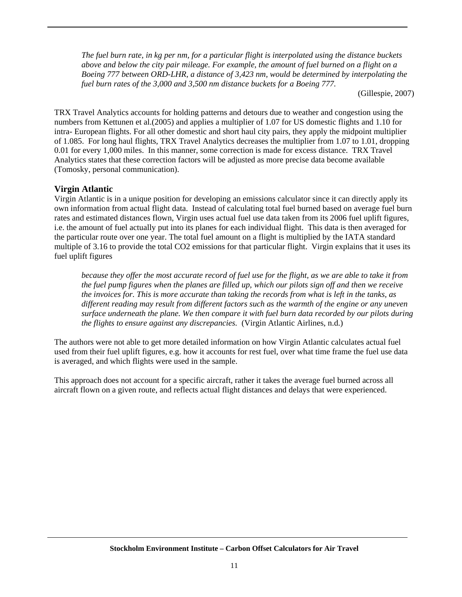*The fuel burn rate, in kg per nm, for a particular flight is interpolated using the distance buckets above and below the city pair mileage. For example, the amount of fuel burned on a flight on a Boeing 777 between ORD-LHR, a distance of 3,423 nm, would be determined by interpolating the fuel burn rates of the 3,000 and 3,500 nm distance buckets for a Boeing 777.* 

(Gillespie, 2007)

TRX Travel Analytics accounts for holding patterns and detours due to weather and congestion using the numbers from Kettunen et al.(2005) and applies a multiplier of 1.07 for US domestic flights and 1.10 for intra- European flights. For all other domestic and short haul city pairs, they apply the midpoint multiplier of 1.085. For long haul flights, TRX Travel Analytics decreases the multiplier from 1.07 to 1.01, dropping 0.01 for every 1,000 miles. In this manner, some correction is made for excess distance. TRX Travel Analytics states that these correction factors will be adjusted as more precise data become available (Tomosky, personal communication).

#### **Virgin Atlantic**

Virgin Atlantic is in a unique position for developing an emissions calculator since it can directly apply its own information from actual flight data. Instead of calculating total fuel burned based on average fuel burn rates and estimated distances flown, Virgin uses actual fuel use data taken from its 2006 fuel uplift figures, i.e. the amount of fuel actually put into its planes for each individual flight. This data is then averaged for the particular route over one year. The total fuel amount on a flight is multiplied by the IATA standard multiple of 3.16 to provide the total CO2 emissions for that particular flight. Virgin explains that it uses its fuel uplift figures

*because they offer the most accurate record of fuel use for the flight, as we are able to take it from the fuel pump figures when the planes are filled up, which our pilots sign off and then we receive the invoices for. This is more accurate than taking the records from what is left in the tanks, as different reading may result from different factors such as the warmth of the engine or any uneven surface underneath the plane. We then compare it with fuel burn data recorded by our pilots during the flights to ensure against any discrepancies.* (Virgin Atlantic Airlines, n.d.)

The authors were not able to get more detailed information on how Virgin Atlantic calculates actual fuel used from their fuel uplift figures, e.g. how it accounts for rest fuel, over what time frame the fuel use data is averaged, and which flights were used in the sample.

This approach does not account for a specific aircraft, rather it takes the average fuel burned across all aircraft flown on a given route, and reflects actual flight distances and delays that were experienced.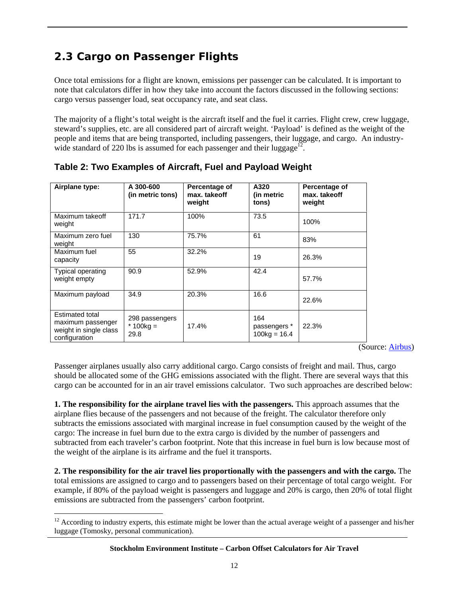# **2.3 Cargo on Passenger Flights**

Once total emissions for a flight are known, emissions per passenger can be calculated. It is important to note that calculators differ in how they take into account the factors discussed in the following sections: cargo versus passenger load, seat occupancy rate, and seat class.

The majority of a flight's total weight is the aircraft itself and the fuel it carries. Flight crew, crew luggage, steward's supplies, etc. are all considered part of aircraft weight. 'Payload' is defined as the weight of the people and items that are being transported, including passengers, their luggage, and cargo. An industrywide standard of 220 lbs is assumed for each passenger and their luggage<sup>12.</sup>

| Airplane type:                                                                  | A 300-600<br>(in metric tons)         | Percentage of<br>max. takeoff<br>weight | A320<br>(in metric<br>tons)           | Percentage of<br>max. takeoff<br>weight |
|---------------------------------------------------------------------------------|---------------------------------------|-----------------------------------------|---------------------------------------|-----------------------------------------|
| Maximum takeoff<br>weight                                                       | 171.7                                 | 100%                                    | 73.5                                  | 100%                                    |
| Maximum zero fuel<br>weight                                                     | 130                                   | 75.7%                                   | 61                                    | 83%                                     |
| Maximum fuel<br>capacity                                                        | 55                                    | 32.2%                                   | 19                                    | 26.3%                                   |
| <b>Typical operating</b><br>weight empty                                        | 90.9                                  | 52.9%                                   | 42.4                                  | 57.7%                                   |
| Maximum payload                                                                 | 34.9                                  | 20.3%                                   | 16.6                                  | 22.6%                                   |
| Estimated total<br>maximum passenger<br>weight in single class<br>configuration | 298 passengers<br>* $100kg =$<br>29.8 | 17.4%                                   | 164<br>passengers *<br>$100kg = 16.4$ | 22.3%                                   |

#### **Table 2: Two Examples of Aircraft, Fuel and Payload Weight**

(Source: Airbus)

Passenger airplanes usually also carry additional cargo. Cargo consists of freight and mail. Thus, cargo should be allocated some of the GHG emissions associated with the flight. There are several ways that this cargo can be accounted for in an air travel emissions calculator. Two such approaches are described below:

**1. The responsibility for the airplane travel lies with the passengers.** This approach assumes that the airplane flies because of the passengers and not because of the freight. The calculator therefore only subtracts the emissions associated with marginal increase in fuel consumption caused by the weight of the cargo: The increase in fuel burn due to the extra cargo is divided by the number of passengers and subtracted from each traveler's carbon footprint. Note that this increase in fuel burn is low because most of the weight of the airplane is its airframe and the fuel it transports.

**2. The responsibility for the air travel lies proportionally with the passengers and with the cargo.** The total emissions are assigned to cargo and to passengers based on their percentage of total cargo weight. For example, if 80% of the payload weight is passengers and luggage and 20% is cargo, then 20% of total flight emissions are subtracted from the passengers' carbon footprint.

 $\overline{a}$ 

 $12$  According to industry experts, this estimate might be lower than the actual average weight of a passenger and his/her luggage (Tomosky, personal communication).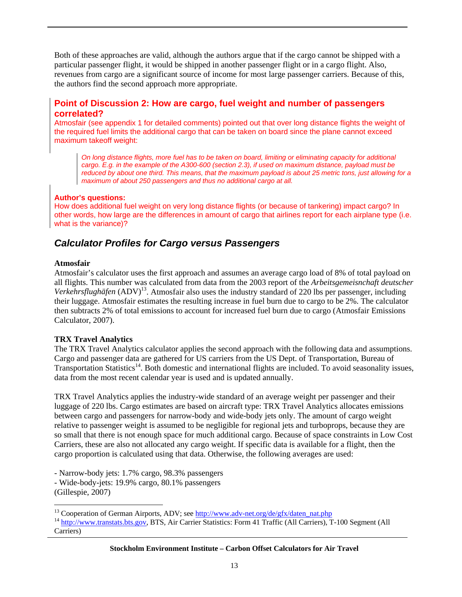Both of these approaches are valid, although the authors argue that if the cargo cannot be shipped with a particular passenger flight, it would be shipped in another passenger flight or in a cargo flight. Also, revenues from cargo are a significant source of income for most large passenger carriers. Because of this, the authors find the second approach more appropriate.

#### **Point of Discussion 2: How are cargo, fuel weight and number of passengers correlated?**

Atmosfair (see appendix 1 for detailed comments) pointed out that over long distance flights the weight of the required fuel limits the additional cargo that can be taken on board since the plane cannot exceed maximum takeoff weight:

*On long distance flights, more fuel has to be taken on board, limiting or eliminating capacity for additional cargo. E.g. in the example of the A300-600 (section 2.3), if used on maximum distance, payload must be reduced by about one third. This means, that the maximum payload is about 25 metric tons, just allowing for a maximum of about 250 passengers and thus no additional cargo at all.* 

#### **Author's questions:**

How does additional fuel weight on very long distance flights (or because of tankering) impact cargo? In other words, how large are the differences in amount of cargo that airlines report for each airplane type (i.e. what is the variance)?

#### *Calculator Profiles for Cargo versus Passengers*

#### **Atmosfair**

Atmosfair's calculator uses the first approach and assumes an average cargo load of 8% of total payload on all flights. This number was calculated from data from the 2003 report of the *Arbeitsgemeisnchaft deutscher Verkehrsflughäfen* (ADV)<sup>13</sup>. Atmosfair also uses the industry standard of 220 lbs per passenger, including their luggage. Atmosfair estimates the resulting increase in fuel burn due to cargo to be 2%. The calculator then subtracts 2% of total emissions to account for increased fuel burn due to cargo (Atmosfair Emissions Calculator, 2007).

#### **TRX Travel Analytics**

The TRX Travel Analytics calculator applies the second approach with the following data and assumptions. Cargo and passenger data are gathered for US carriers from the US Dept. of Transportation, Bureau of Transportation Statistics<sup>14</sup>. Both domestic and international flights are included. To avoid seasonality issues, data from the most recent calendar year is used and is updated annually.

TRX Travel Analytics applies the industry-wide standard of an average weight per passenger and their luggage of 220 lbs. Cargo estimates are based on aircraft type: TRX Travel Analytics allocates emissions between cargo and passengers for narrow-body and wide-body jets only. The amount of cargo weight relative to passenger weight is assumed to be negligible for regional jets and turboprops, because they are so small that there is not enough space for much additional cargo. Because of space constraints in Low Cost Carriers, these are also not allocated any cargo weight. If specific data is available for a flight, then the cargo proportion is calculated using that data. Otherwise, the following averages are used:

- Narrow-body jets: 1.7% cargo, 98.3% passengers

- Wide-body-jets: 19.9% cargo, 80.1% passengers (Gillespie, 2007)

 $\overline{a}$ 

<sup>&</sup>lt;sup>13</sup> Cooperation of German Airports, ADV; see  $\frac{http://www.add-net.org/de/gfx/daten_nat.php}{http://www.transtats.bts.gov}$ , BTS, Air Carrier Statistics: Form 41 Traffic (All Carriers), T-100 Segment (All Carriers)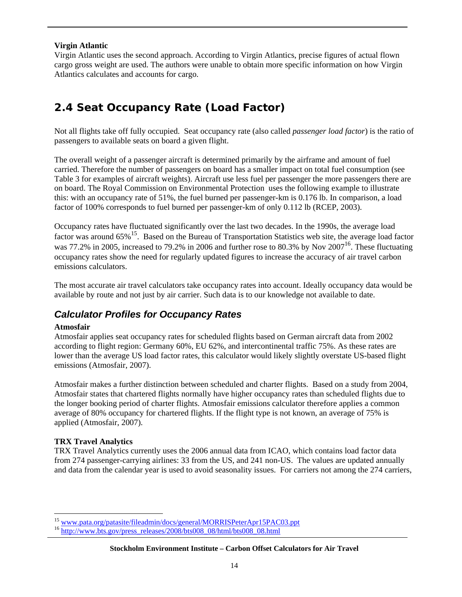#### **Virgin Atlantic**

Virgin Atlantic uses the second approach. According to Virgin Atlantics, precise figures of actual flown cargo gross weight are used. The authors were unable to obtain more specific information on how Virgin Atlantics calculates and accounts for cargo.

# **2.4 Seat Occupancy Rate (Load Factor)**

Not all flights take off fully occupied. Seat occupancy rate (also called *passenger load factor*) is the ratio of passengers to available seats on board a given flight.

The overall weight of a passenger aircraft is determined primarily by the airframe and amount of fuel carried. Therefore the number of passengers on board has a smaller impact on total fuel consumption (see Table 3 for examples of aircraft weights). Aircraft use less fuel per passenger the more passengers there are on board. The Royal Commission on Environmental Protection uses the following example to illustrate this: with an occupancy rate of 51%, the fuel burned per passenger-km is 0.176 lb. In comparison, a load factor of 100% corresponds to fuel burned per passenger-km of only 0.112 lb (RCEP, 2003).

Occupancy rates have fluctuated significantly over the last two decades. In the 1990s, the average load factor was around 65%<sup>15</sup>. Based on the Bureau of Transportation Statistics web site, the average load factor was 77.2% in 2005, increased to 79.2% in 2006 and further rose to 80.3% by Nov  $2007^{16}$ . These fluctuating occupancy rates show the need for regularly updated figures to increase the accuracy of air travel carbon emissions calculators.

The most accurate air travel calculators take occupancy rates into account. Ideally occupancy data would be available by route and not just by air carrier. Such data is to our knowledge not available to date.

## *Calculator Profiles for Occupancy Rates*

#### **Atmosfair**

Atmosfair applies seat occupancy rates for scheduled flights based on German aircraft data from 2002 according to flight region: Germany 60%, EU 62%, and intercontinental traffic 75%. As these rates are lower than the average US load factor rates, this calculator would likely slightly overstate US-based flight emissions (Atmosfair, 2007).

Atmosfair makes a further distinction between scheduled and charter flights. Based on a study from 2004, Atmosfair states that chartered flights normally have higher occupancy rates than scheduled flights due to the longer booking period of charter flights. Atmosfair emissions calculator therefore applies a common average of 80% occupancy for chartered flights. If the flight type is not known, an average of 75% is applied (Atmosfair, 2007).

#### **TRX Travel Analytics**

 $\overline{a}$ 

TRX Travel Analytics currently uses the 2006 annual data from ICAO, which contains load factor data from 274 passenger-carrying airlines: 33 from the US, and 241 non-US. The values are updated annually and data from the calendar year is used to avoid seasonality issues. For carriers not among the 274 carriers,

<sup>&</sup>lt;sup>15</sup> www.pata.org/patasite/fileadmin/docs/general/MORRISPeterApr15PAC03.ppt<br><sup>16</sup> http://www.bts.gov/press\_releases/2008/bts008\_08/html/bts008\_08.html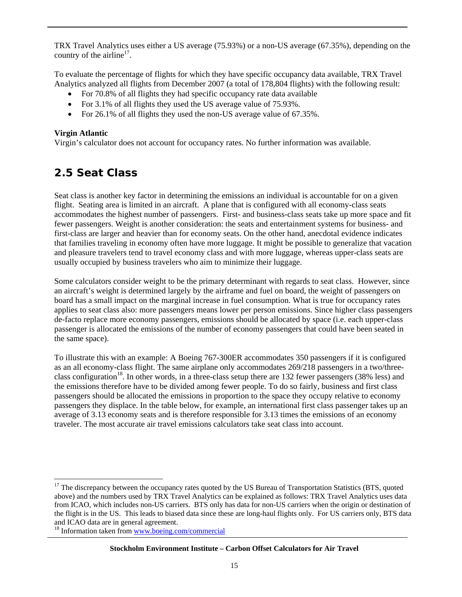TRX Travel Analytics uses either a US average (75.93%) or a non-US average (67.35%), depending on the country of the airline<sup>17</sup>.

To evaluate the percentage of flights for which they have specific occupancy data available, TRX Travel Analytics analyzed all flights from December 2007 (a total of 178,804 flights) with the following result:

- For 70.8% of all flights they had specific occupancy rate data available
- For 3.1% of all flights they used the US average value of 75.93%.
- For 26.1% of all flights they used the non-US average value of 67.35%.

#### **Virgin Atlantic**

 $\overline{a}$ 

Virgin's calculator does not account for occupancy rates. No further information was available.

## **2.5 Seat Class**

Seat class is another key factor in determining the emissions an individual is accountable for on a given flight. Seating area is limited in an aircraft. A plane that is configured with all economy-class seats accommodates the highest number of passengers. First- and business-class seats take up more space and fit fewer passengers. Weight is another consideration: the seats and entertainment systems for business- and first-class are larger and heavier than for economy seats. On the other hand, anecdotal evidence indicates that families traveling in economy often have more luggage. It might be possible to generalize that vacation and pleasure travelers tend to travel economy class and with more luggage, whereas upper-class seats are usually occupied by business travelers who aim to minimize their luggage.

Some calculators consider weight to be the primary determinant with regards to seat class. However, since an aircraft's weight is determined largely by the airframe and fuel on board, the weight of passengers on board has a small impact on the marginal increase in fuel consumption. What is true for occupancy rates applies to seat class also: more passengers means lower per person emissions. Since higher class passengers de-facto replace more economy passengers, emissions should be allocated by space (i.e. each upper-class passenger is allocated the emissions of the number of economy passengers that could have been seated in the same space).

To illustrate this with an example: A Boeing 767-300ER accommodates 350 passengers if it is configured as an all economy-class flight. The same airplane only accommodates 269/218 passengers in a two/threeclass configuration<sup>18</sup>. In other words, in a three-class setup there are 132 fewer passengers (38% less) and the emissions therefore have to be divided among fewer people. To do so fairly, business and first class passengers should be allocated the emissions in proportion to the space they occupy relative to economy passengers they displace. In the table below, for example, an international first class passenger takes up an average of 3.13 economy seats and is therefore responsible for 3.13 times the emissions of an economy traveler. The most accurate air travel emissions calculators take seat class into account.

<sup>&</sup>lt;sup>17</sup> The discrepancy between the occupancy rates quoted by the US Bureau of Transportation Statistics (BTS, quoted above) and the numbers used by TRX Travel Analytics can be explained as follows: TRX Travel Analytics uses data from ICAO, which includes non-US carriers. BTS only has data for non-US carriers when the origin or destination of the flight is in the US. This leads to biased data since these are long-haul flights only. For US carriers only, BTS data and ICAO data are in general agreement.

<sup>18</sup> Information taken from www.boeing.com/commercial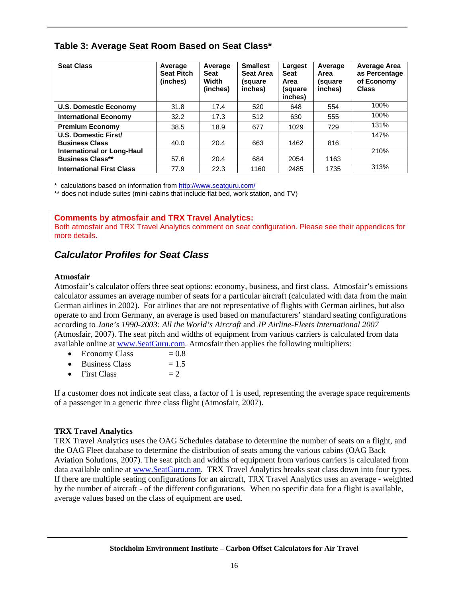#### **Table 3: Average Seat Room Based on Seat Class\***

| <b>Seat Class</b>                | Average<br><b>Seat Pitch</b><br>(inches) | Average<br><b>Seat</b><br>Width<br>(inches) | <b>Smallest</b><br><b>Seat Area</b><br>(square<br>inches) | Largest<br><b>Seat</b><br>Area<br>(square<br>inches) | Average<br>Area<br>(square<br>inches) | <b>Average Area</b><br>as Percentage<br>of Economy<br><b>Class</b> |
|----------------------------------|------------------------------------------|---------------------------------------------|-----------------------------------------------------------|------------------------------------------------------|---------------------------------------|--------------------------------------------------------------------|
| <b>U.S. Domestic Economy</b>     | 31.8                                     | 17.4                                        | 520                                                       | 648                                                  | 554                                   | 100%                                                               |
| <b>International Economy</b>     | 32.2                                     | 17.3                                        | 512                                                       | 630                                                  | 555                                   | 100%                                                               |
| <b>Premium Economy</b>           | 38.5                                     | 18.9                                        | 677                                                       | 1029                                                 | 729                                   | 131%                                                               |
| U.S. Domestic First/             |                                          |                                             |                                                           |                                                      |                                       | 147%                                                               |
| <b>Business Class</b>            | 40.0                                     | 20.4                                        | 663                                                       | 1462                                                 | 816                                   |                                                                    |
| International or Long-Haul       |                                          |                                             |                                                           |                                                      |                                       | 210%                                                               |
| <b>Business Class**</b>          | 57.6                                     | 20.4                                        | 684                                                       | 2054                                                 | 1163                                  |                                                                    |
| <b>International First Class</b> | 77.9                                     | 22.3                                        | 1160                                                      | 2485                                                 | 1735                                  | 313%                                                               |

\* calculations based on information from http://www.seatguru.com/

\*\* does not include suites (mini-cabins that include flat bed, work station, and TV)

#### **Comments by atmosfair and TRX Travel Analytics:**

Both atmosfair and TRX Travel Analytics comment on seat configuration. Please see their appendices for more details.

#### *Calculator Profiles for Seat Class*

#### **Atmosfair**

Atmosfair's calculator offers three seat options: economy, business, and first class. Atmosfair's emissions calculator assumes an average number of seats for a particular aircraft (calculated with data from the main German airlines in 2002). For airlines that are not representative of flights with German airlines, but also operate to and from Germany, an average is used based on manufacturers' standard seating configurations according to *Jane's 1990-2003: All the World's Aircraft* and *JP Airline-Fleets International 2007* (Atmosfair, 2007). The seat pitch and widths of equipment from various carriers is calculated from data available online at www.SeatGuru.com. Atmosfair then applies the following multipliers:

- Economy Class  $= 0.8$
- Business Class  $= 1.5$
- First Class  $= 2$

If a customer does not indicate seat class, a factor of 1 is used, representing the average space requirements of a passenger in a generic three class flight (Atmosfair, 2007).

#### **TRX Travel Analytics**

TRX Travel Analytics uses the OAG Schedules database to determine the number of seats on a flight, and the OAG Fleet database to determine the distribution of seats among the various cabins (OAG Back Aviation Solutions, 2007). The seat pitch and widths of equipment from various carriers is calculated from data available online at www.SeatGuru.com. TRX Travel Analytics breaks seat class down into four types. If there are multiple seating configurations for an aircraft, TRX Travel Analytics uses an average - weighted by the number of aircraft - of the different configurations. When no specific data for a flight is available, average values based on the class of equipment are used.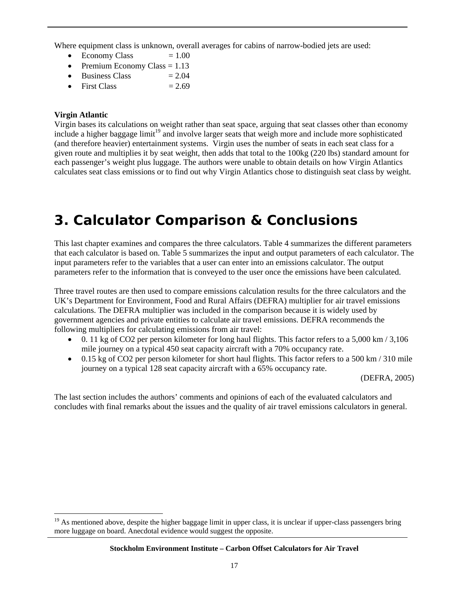Where equipment class is unknown, overall averages for cabins of narrow-bodied jets are used:

- Economy Class  $= 1.00$
- Premium Economy Class  $= 1.13$
- Business Class  $= 2.04$
- First Class  $= 2.69$

#### **Virgin Atlantic**

 $\overline{a}$ 

Virgin bases its calculations on weight rather than seat space, arguing that seat classes other than economy include a higher baggage limit<sup>19</sup> and involve larger seats that weigh more and include more sophisticated (and therefore heavier) entertainment systems. Virgin uses the number of seats in each seat class for a given route and multiplies it by seat weight, then adds that total to the 100kg (220 lbs) standard amount for each passenger's weight plus luggage. The authors were unable to obtain details on how Virgin Atlantics calculates seat class emissions or to find out why Virgin Atlantics chose to distinguish seat class by weight.

# **3. Calculator Comparison & Conclusions**

This last chapter examines and compares the three calculators. Table 4 summarizes the different parameters that each calculator is based on. Table 5 summarizes the input and output parameters of each calculator. The input parameters refer to the variables that a user can enter into an emissions calculator. The output parameters refer to the information that is conveyed to the user once the emissions have been calculated.

Three travel routes are then used to compare emissions calculation results for the three calculators and the UK's Department for Environment, Food and Rural Affairs (DEFRA) multiplier for air travel emissions calculations. The DEFRA multiplier was included in the comparison because it is widely used by government agencies and private entities to calculate air travel emissions. DEFRA recommends the following multipliers for calculating emissions from air travel:

- $\bullet$  0. 11 kg of CO2 per person kilometer for long haul flights. This factor refers to a 5,000 km / 3,106 mile journey on a typical 450 seat capacity aircraft with a 70% occupancy rate.
- $\bullet$  0.15 kg of CO2 per person kilometer for short haul flights. This factor refers to a 500 km / 310 mile journey on a typical 128 seat capacity aircraft with a 65% occupancy rate.

(DEFRA, 2005)

The last section includes the authors' comments and opinions of each of the evaluated calculators and concludes with final remarks about the issues and the quality of air travel emissions calculators in general.

<sup>&</sup>lt;sup>19</sup> As mentioned above, despite the higher baggage limit in upper class, it is unclear if upper-class passengers bring more luggage on board. Anecdotal evidence would suggest the opposite.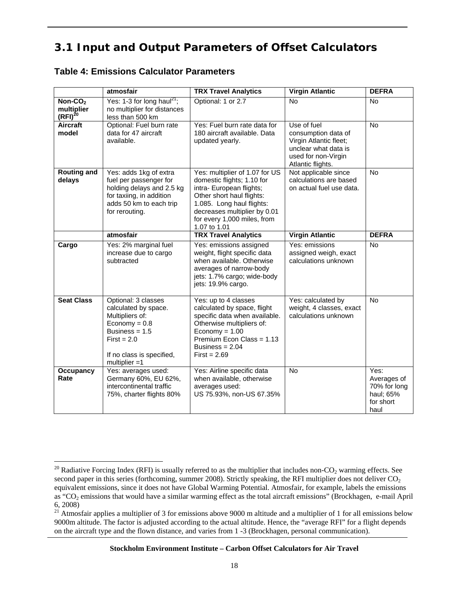# **3.1 Input and Output Parameters of Offset Calculators**

#### **Table 4: Emissions Calculator Parameters**

 $\overline{a}$ 

|                                                   | atmosfair                                                                                                                                                                        | <b>TRX Travel Analytics</b>                                                                                                                                                                                                       | <b>Virgin Atlantic</b>                                                                                                           | <b>DEFRA</b>                                                          |
|---------------------------------------------------|----------------------------------------------------------------------------------------------------------------------------------------------------------------------------------|-----------------------------------------------------------------------------------------------------------------------------------------------------------------------------------------------------------------------------------|----------------------------------------------------------------------------------------------------------------------------------|-----------------------------------------------------------------------|
| Non-CO <sub>2</sub><br>multiplier<br>$(RFI)^{20}$ | Yes: 1-3 for long haul <sup>21</sup> ;<br>no multiplier for distances<br>less than 500 km                                                                                        | Optional: 1 or 2.7                                                                                                                                                                                                                | <b>No</b>                                                                                                                        | No.                                                                   |
| Aircraft<br>model                                 | Optional: Fuel burn rate<br>data for 47 aircraft<br>available.                                                                                                                   | Yes: Fuel burn rate data for<br>180 aircraft available. Data<br>updated yearly.                                                                                                                                                   | Use of fuel<br>consumption data of<br>Virgin Atlantic fleet;<br>unclear what data is<br>used for non-Virgin<br>Atlantic flights. | <b>No</b>                                                             |
| <b>Routing and</b><br>delays                      | Yes: adds 1kg of extra<br>fuel per passenger for<br>holding delays and 2.5 kg<br>for taxiing, in addition<br>adds 50 km to each trip<br>for rerouting.                           | Yes: multiplier of 1.07 for US<br>domestic flights; 1.10 for<br>intra- European flights;<br>Other short haul flights:<br>1.085. Long haul flights:<br>decreases multiplier by 0.01<br>for every 1,000 miles, from<br>1.07 to 1.01 | Not applicable since<br>calculations are based<br>on actual fuel use data.                                                       | <b>No</b>                                                             |
|                                                   | atmosfair                                                                                                                                                                        | <b>TRX Travel Analytics</b>                                                                                                                                                                                                       | <b>Virgin Atlantic</b>                                                                                                           | <b>DEFRA</b>                                                          |
| Cargo                                             | Yes: 2% marginal fuel<br>increase due to cargo<br>subtracted                                                                                                                     | Yes: emissions assigned<br>weight, flight specific data<br>when available. Otherwise<br>averages of narrow-body<br>jets: 1.7% cargo; wide-body<br>jets: 19.9% cargo.                                                              | Yes: emissions<br>assigned weigh, exact<br>calculations unknown                                                                  | <b>No</b>                                                             |
| <b>Seat Class</b>                                 | Optional: 3 classes<br>calculated by space.<br>Multipliers of:<br>$E_{\text{conomy}} = 0.8$<br>Business = $1.5$<br>$First = 2.0$<br>If no class is specified,<br>multiplier $=1$ | Yes: up to 4 classes<br>calculated by space, flight<br>specific data when available.<br>Otherwise multipliers of:<br>$E_{\text{conomy}} = 1.00$<br>Premium Econ Class = 1.13<br>Business = $2.04$<br>$First = 2.69$               | Yes: calculated by<br>weight, 4 classes, exact<br>calculations unknown                                                           | <b>No</b>                                                             |
| Occupancy<br>Rate                                 | Yes: averages used:<br>Germany 60%, EU 62%,<br>intercontinental traffic<br>75%, charter flights 80%                                                                              | Yes: Airline specific data<br>when available, otherwise<br>averages used:<br>US 75.93%, non-US 67.35%                                                                                                                             | <b>No</b>                                                                                                                        | Yes:<br>Averages of<br>70% for long<br>haul; 65%<br>for short<br>haul |

<sup>&</sup>lt;sup>20</sup> Radiative Forcing Index (RFI) is usually referred to as the multiplier that includes non-CO<sub>2</sub> warming effects. See second paper in this series (forthcoming, summer 2008). Strictly speaking, the RFI multiplier does not deliver  $CO<sub>2</sub>$ equivalent emissions, since it does not have Global Warming Potential. Atmosfair, for example, labels the emissions as "CO<sub>2</sub> emissions that would have a similar warming effect as the total aircraft emissions" (Brockhagen, e-mail April 6, 2008)

 $21$  Atmosfair applies a multiplier of 3 for emissions above 9000 m altitude and a multiplier of 1 for all emissions below 9000m altitude. The factor is adjusted according to the actual altitude. Hence, the "average RFI" for a flight depends on the aircraft type and the flown distance, and varies from 1 -3 (Brockhagen, personal communication).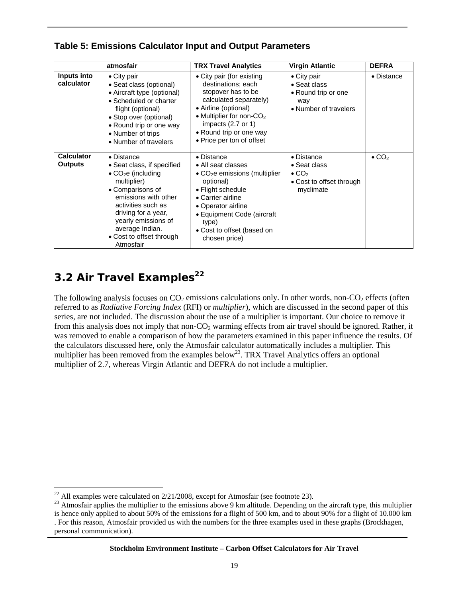|                                     | atmosfair                                                                                                                                                                                                                                                                             | <b>TRX Travel Analytics</b>                                                                                                                                                                                                                              | <b>Virgin Atlantic</b>                                                                           | <b>DEFRA</b>              |
|-------------------------------------|---------------------------------------------------------------------------------------------------------------------------------------------------------------------------------------------------------------------------------------------------------------------------------------|----------------------------------------------------------------------------------------------------------------------------------------------------------------------------------------------------------------------------------------------------------|--------------------------------------------------------------------------------------------------|---------------------------|
| Inputs into<br>calculator           | $\bullet$ City pair<br>• Seat class (optional)<br>• Aircraft type (optional)<br>• Scheduled or charter<br>flight (optional)<br>• Stop over (optional)<br>• Round trip or one way<br>• Number of trips<br>• Number of travelers                                                        | • City pair (for existing<br>destinations; each<br>stopover has to be<br>calculated separately)<br>• Airline (optional)<br>• Multiplier for non-CO <sub>2</sub><br>impacts (2.7 or 1)<br>• Round trip or one way<br>• Price per ton of offset            | • City pair<br>• Seat class<br>• Round trip or one<br>way<br>• Number of travelers               | • Distance                |
| <b>Calculator</b><br><b>Outputs</b> | $\bullet$ Distance<br>• Seat class, if specified<br>$\bullet$ CO <sub>2</sub> e (including<br>multiplier)<br>• Comparisons of<br>emissions with other<br>activities such as<br>driving for a year,<br>yearly emissions of<br>average Indian.<br>• Cost to offset through<br>Atmosfair | • Distance<br>• All seat classes<br>$\bullet$ CO <sub>2</sub> e emissions (multiplier<br>optional)<br>• Flight schedule<br>• Carrier airline<br>• Operator airline<br>• Equipment Code (aircraft<br>type)<br>• Cost to offset (based on<br>chosen price) | • Distance<br>• Seat class<br>$\bullet$ CO <sub>2</sub><br>• Cost to offset through<br>myclimate | $\bullet$ CO <sub>2</sub> |

#### **Table 5: Emissions Calculator Input and Output Parameters**

# **3.2 Air Travel Examples<sup>22</sup>**

The following analysis focuses on  $CO<sub>2</sub>$  emissions calculations only. In other words, non- $CO<sub>2</sub>$  effects (often referred to as *Radiative Forcing Index* (RFI) or *multiplier*), which are discussed in the second paper of this series, are not included. The discussion about the use of a multiplier is important. Our choice to remove it from this analysis does not imply that non-CO<sub>2</sub> warming effects from air travel should be ignored. Rather, it was removed to enable a comparison of how the parameters examined in this paper influence the results. Of the calculators discussed here, only the Atmosfair calculator automatically includes a multiplier. This multiplier has been removed from the examples below<sup>23</sup>. TRX Travel Analytics offers an optional multiplier of 2.7, whereas Virgin Atlantic and DEFRA do not include a multiplier.

 $\overline{a}$  $^{22}$  All examples were calculated on  $2/21/2008$ , except for Atmosfair (see footnote 23).

<sup>&</sup>lt;sup>23</sup> Atmosfair applies the multiplier to the emissions above 9 km altitude. Depending on the aircraft type, this multiplier is hence only applied to about 50% of the emissions for a flight of 500 km, and to about 90% for a flight of 10.000 km . For this reason, Atmosfair provided us with the numbers for the three examples used in these graphs (Brockhagen, personal communication).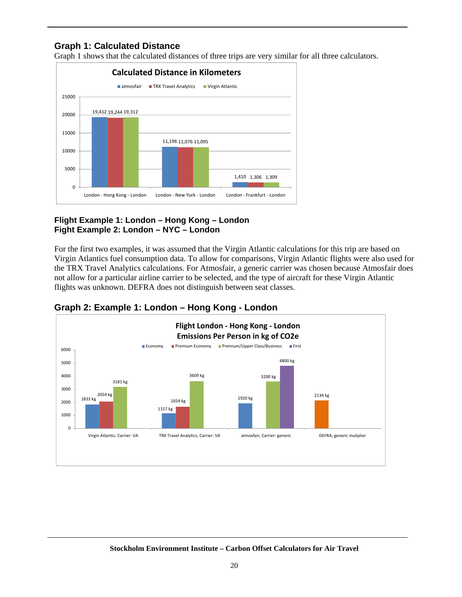#### **Graph 1: Calculated Distance**

Graph 1 shows that the calculated distances of three trips are very similar for all three calculators.



#### **Flight Example 1: London – Hong Kong – London Fight Example 2: London – NYC – London**

For the first two examples, it was assumed that the Virgin Atlantic calculations for this trip are based on Virgin Atlantics fuel consumption data. To allow for comparisons, Virgin Atlantic flights were also used for the TRX Travel Analytics calculations. For Atmosfair, a generic carrier was chosen because Atmosfair does not allow for a particular airline carrier to be selected, and the type of aircraft for these Virgin Atlantic flights was unknown. DEFRA does not distinguish between seat classes.



## **Graph 2: Example 1: London – Hong Kong - London**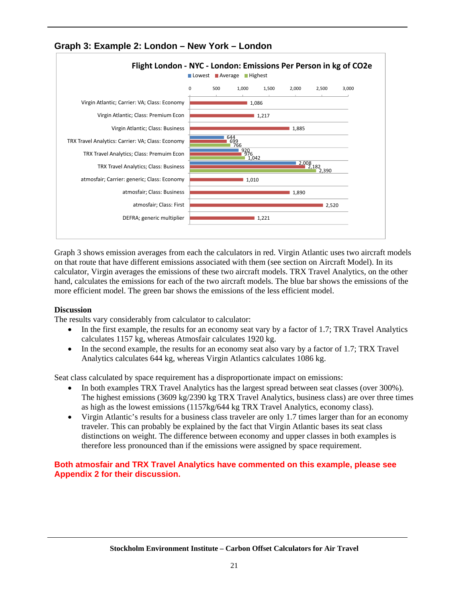

**Graph 3: Example 2: London – New York – London** 

Graph 3 shows emission averages from each the calculators in red. Virgin Atlantic uses two aircraft models on that route that have different emissions associated with them (see section on Aircraft Model). In its calculator, Virgin averages the emissions of these two aircraft models. TRX Travel Analytics, on the other hand, calculates the emissions for each of the two aircraft models. The blue bar shows the emissions of the more efficient model. The green bar shows the emissions of the less efficient model.

#### **Discussion**

The results vary considerably from calculator to calculator:

- In the first example, the results for an economy seat vary by a factor of 1.7; TRX Travel Analytics calculates 1157 kg, whereas Atmosfair calculates 1920 kg.
- In the second example, the results for an economy seat also vary by a factor of 1.7; TRX Travel Analytics calculates 644 kg, whereas Virgin Atlantics calculates 1086 kg.

Seat class calculated by space requirement has a disproportionate impact on emissions:

- In both examples TRX Travel Analytics has the largest spread between seat classes (over 300%). The highest emissions (3609 kg/2390 kg TRX Travel Analytics, business class) are over three times as high as the lowest emissions (1157kg/644 kg TRX Travel Analytics, economy class).
- Virgin Atlantic's results for a business class traveler are only 1.7 times larger than for an economy traveler. This can probably be explained by the fact that Virgin Atlantic bases its seat class distinctions on weight. The difference between economy and upper classes in both examples is therefore less pronounced than if the emissions were assigned by space requirement.

#### **Both atmosfair and TRX Travel Analytics have commented on this example, please see Appendix 2 for their discussion.**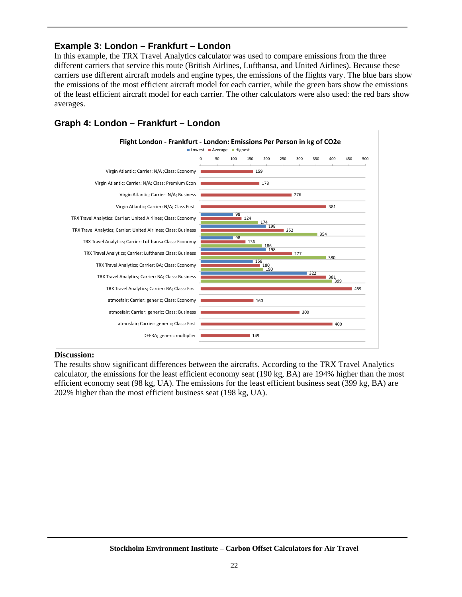#### **Example 3: London – Frankfurt – London**

In this example, the TRX Travel Analytics calculator was used to compare emissions from the three different carriers that service this route (British Airlines, Lufthansa, and United Airlines). Because these carriers use different aircraft models and engine types, the emissions of the flights vary. The blue bars show the emissions of the most efficient aircraft model for each carrier, while the green bars show the emissions of the least efficient aircraft model for each carrier. The other calculators were also used: the red bars show averages.



#### **Graph 4: London – Frankfurt – London**

#### **Discussion:**

The results show significant differences between the aircrafts. According to the TRX Travel Analytics calculator, the emissions for the least efficient economy seat (190 kg, BA) are 194% higher than the most efficient economy seat (98 kg, UA). The emissions for the least efficient business seat (399 kg, BA) are 202% higher than the most efficient business seat (198 kg, UA).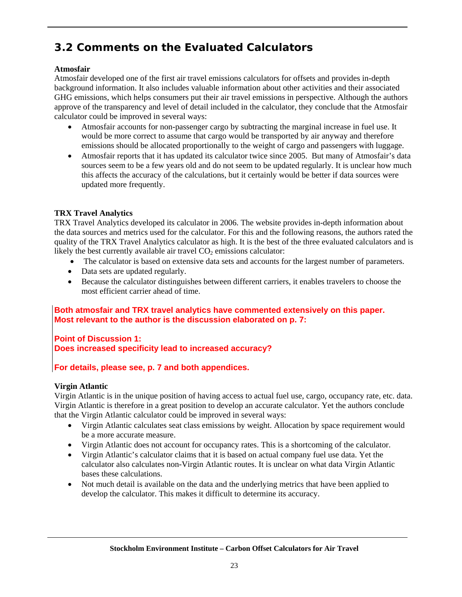# **3.2 Comments on the Evaluated Calculators**

#### **Atmosfair**

Atmosfair developed one of the first air travel emissions calculators for offsets and provides in-depth background information. It also includes valuable information about other activities and their associated GHG emissions, which helps consumers put their air travel emissions in perspective. Although the authors approve of the transparency and level of detail included in the calculator, they conclude that the Atmosfair calculator could be improved in several ways:

- Atmosfair accounts for non-passenger cargo by subtracting the marginal increase in fuel use. It would be more correct to assume that cargo would be transported by air anyway and therefore emissions should be allocated proportionally to the weight of cargo and passengers with luggage.
- Atmosfair reports that it has updated its calculator twice since 2005. But many of Atmosfair's data sources seem to be a few years old and do not seem to be updated regularly. It is unclear how much this affects the accuracy of the calculations, but it certainly would be better if data sources were updated more frequently.

#### **TRX Travel Analytics**

TRX Travel Analytics developed its calculator in 2006. The website provides in-depth information about the data sources and metrics used for the calculator. For this and the following reasons, the authors rated the quality of the TRX Travel Analytics calculator as high. It is the best of the three evaluated calculators and is likely the best currently available air travel  $CO<sub>2</sub>$  emissions calculator:

- The calculator is based on extensive data sets and accounts for the largest number of parameters.
- Data sets are updated regularly.
- Because the calculator distinguishes between different carriers, it enables travelers to choose the most efficient carrier ahead of time.

#### **Both atmosfair and TRX travel analytics have commented extensively on this paper. Most relevant to the author is the discussion elaborated on p. 7:**

**Point of Discussion 1: Does increased specificity lead to increased accuracy?** 

#### **For details, please see, p. 7 and both appendices.**

#### **Virgin Atlantic**

Virgin Atlantic is in the unique position of having access to actual fuel use, cargo, occupancy rate, etc. data. Virgin Atlantic is therefore in a great position to develop an accurate calculator. Yet the authors conclude that the Virgin Atlantic calculator could be improved in several ways:

- Virgin Atlantic calculates seat class emissions by weight. Allocation by space requirement would be a more accurate measure.
- Virgin Atlantic does not account for occupancy rates. This is a shortcoming of the calculator.
- Virgin Atlantic's calculator claims that it is based on actual company fuel use data. Yet the calculator also calculates non-Virgin Atlantic routes. It is unclear on what data Virgin Atlantic bases these calculations.
- Not much detail is available on the data and the underlying metrics that have been applied to develop the calculator. This makes it difficult to determine its accuracy.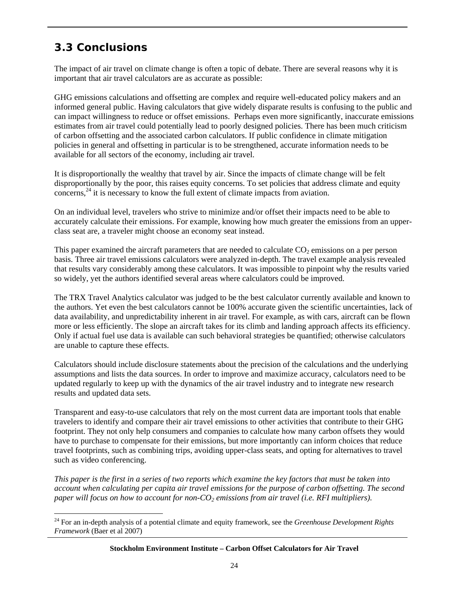## **3.3 Conclusions**

 $\overline{a}$ 

The impact of air travel on climate change is often a topic of debate. There are several reasons why it is important that air travel calculators are as accurate as possible:

GHG emissions calculations and offsetting are complex and require well-educated policy makers and an informed general public. Having calculators that give widely disparate results is confusing to the public and can impact willingness to reduce or offset emissions. Perhaps even more significantly, inaccurate emissions estimates from air travel could potentially lead to poorly designed policies. There has been much criticism of carbon offsetting and the associated carbon calculators. If public confidence in climate mitigation policies in general and offsetting in particular is to be strengthened, accurate information needs to be available for all sectors of the economy, including air travel.

It is disproportionally the wealthy that travel by air. Since the impacts of climate change will be felt disproportionally by the poor, this raises equity concerns. To set policies that address climate and equity concerns,<sup>24</sup> it is necessary to know the full extent of climate impacts from aviation.

On an individual level, travelers who strive to minimize and/or offset their impacts need to be able to accurately calculate their emissions. For example, knowing how much greater the emissions from an upperclass seat are, a traveler might choose an economy seat instead.

This paper examined the aircraft parameters that are needed to calculate  $CO<sub>2</sub>$  emissions on a per person basis. Three air travel emissions calculators were analyzed in-depth. The travel example analysis revealed that results vary considerably among these calculators. It was impossible to pinpoint why the results varied so widely, yet the authors identified several areas where calculators could be improved.

The TRX Travel Analytics calculator was judged to be the best calculator currently available and known to the authors. Yet even the best calculators cannot be 100% accurate given the scientific uncertainties, lack of data availability, and unpredictability inherent in air travel. For example, as with cars, aircraft can be flown more or less efficiently. The slope an aircraft takes for its climb and landing approach affects its efficiency. Only if actual fuel use data is available can such behavioral strategies be quantified; otherwise calculators are unable to capture these effects.

Calculators should include disclosure statements about the precision of the calculations and the underlying assumptions and lists the data sources. In order to improve and maximize accuracy, calculators need to be updated regularly to keep up with the dynamics of the air travel industry and to integrate new research results and updated data sets.

Transparent and easy-to-use calculators that rely on the most current data are important tools that enable travelers to identify and compare their air travel emissions to other activities that contribute to their GHG footprint. They not only help consumers and companies to calculate how many carbon offsets they would have to purchase to compensate for their emissions, but more importantly can inform choices that reduce travel footprints, such as combining trips, avoiding upper-class seats, and opting for alternatives to travel such as video conferencing.

*This paper is the first in a series of two reports which examine the key factors that must be taken into account when calculating per capita air travel emissions for the purpose of carbon offsetting. The second paper will focus on how to account for non-CO<sub>2</sub> emissions from air travel (i.e. RFI multipliers).* 

<sup>24</sup> For an in-depth analysis of a potential climate and equity framework, see the *Greenhouse Development Rights Framework* (Baer et al 2007)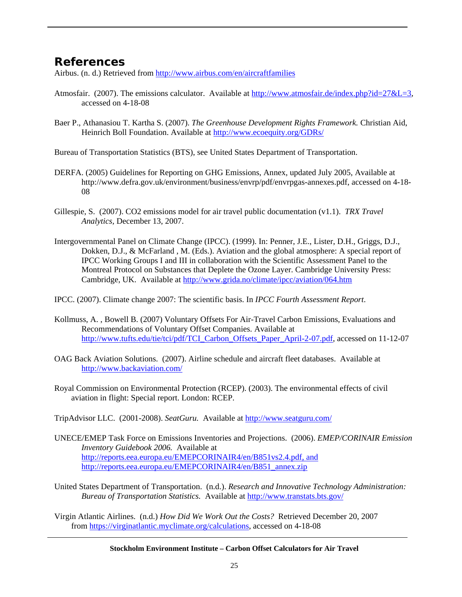## **References**

Airbus. (n. d.) Retrieved from http://www.airbus.com/en/aircraftfamilies

- Atmosfair. (2007). The emissions calculator. Available at http://www.atmosfair.de/index.php?id=27&L=3, accessed on 4-18-08
- Baer P., Athanasiou T. Kartha S. (2007). *The Greenhouse Development Rights Framework.* Christian Aid, Heinrich Boll Foundation. Available at http://www.ecoequity.org/GDRs/
- Bureau of Transportation Statistics (BTS), see United States Department of Transportation.
- DERFA. (2005) Guidelines for Reporting on GHG Emissions, Annex, updated July 2005, Available at http://www.defra.gov.uk/environment/business/envrp/pdf/envrpgas-annexes.pdf, accessed on 4-18- 08
- Gillespie, S. (2007). CO2 emissions model for air travel public documentation (v1.1). *TRX Travel Analytics,* December 13, 2007.
- Intergovernmental Panel on Climate Change (IPCC). (1999). In: Penner, J.E., Lister, D.H., Griggs, D.J., Dokken, D.J., & McFarland , M. (Eds.). Aviation and the global atmosphere: A special report of IPCC Working Groups I and III in collaboration with the Scientific Assessment Panel to the Montreal Protocol on Substances that Deplete the Ozone Layer. Cambridge University Press: Cambridge, UK. Available at http://www.grida.no/climate/ipcc/aviation/064.htm
- IPCC. (2007). Climate change 2007: The scientific basis. In *IPCC Fourth Assessment Report*.
- Kollmuss, A. , Bowell B. (2007) Voluntary Offsets For Air-Travel Carbon Emissions, Evaluations and Recommendations of Voluntary Offset Companies. Available at http://www.tufts.edu/tie/tci/pdf/TCI\_Carbon\_Offsets\_Paper\_April-2-07.pdf, accessed on 11-12-07
- OAG Back Aviation Solutions. (2007). Airline schedule and aircraft fleet databases. Available at http://www.backaviation.com/
- Royal Commission on Environmental Protection (RCEP). (2003). The environmental effects of civil aviation in flight: Special report. London: RCEP.
- TripAdvisor LLC. (2001-2008). *SeatGuru.* Available at http://www.seatguru.com/
- UNECE/EMEP Task Force on Emissions Inventories and Projections. (2006). *EMEP/CORINAIR Emission Inventory Guidebook 2006.* Available at http://reports.eea.europa.eu/EMEPCORINAIR4/en/B851vs2.4.pdf, and http://reports.eea.europa.eu/EMEPCORINAIR4/en/B851\_annex.zip
- United States Department of Transportation. (n.d.). *Research and Innovative Technology Administration: Bureau of Transportation Statistics.* Available at http://www.transtats.bts.gov/
- Virgin Atlantic Airlines. (n.d.) *How Did We Work Out the Costs?* Retrieved December 20, 2007 from https://virginatlantic.myclimate.org/calculations, accessed on 4-18-08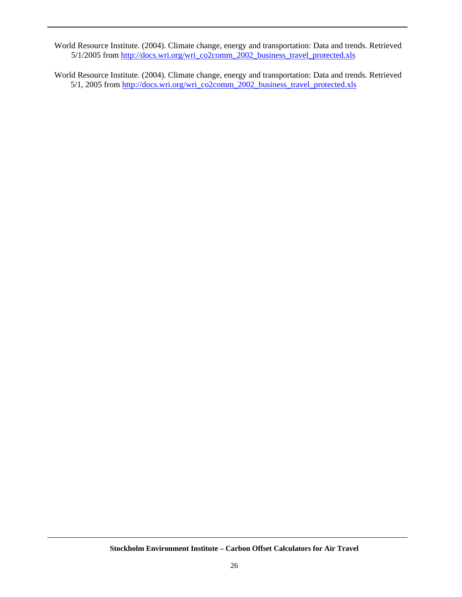World Resource Institute. (2004). Climate change, energy and transportation: Data and trends. Retrieved 5/1/2005 from http://docs.wri.org/wri\_co2comm\_2002\_business\_travel\_protected.xls

World Resource Institute. (2004). Climate change, energy and transportation: Data and trends. Retrieved 5/1, 2005 from http://docs.wri.org/wri\_co2comm\_2002\_business\_travel\_protected.xls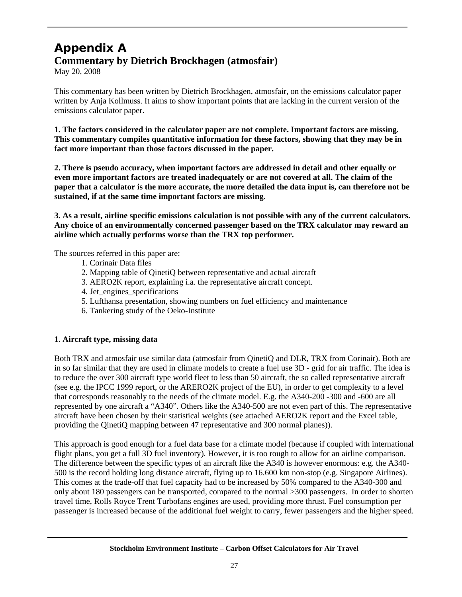## **Appendix A Commentary by Dietrich Brockhagen (atmosfair)**

May 20, 2008

This commentary has been written by Dietrich Brockhagen, atmosfair, on the emissions calculator paper written by Anja Kollmuss. It aims to show important points that are lacking in the current version of the emissions calculator paper.

**1. The factors considered in the calculator paper are not complete. Important factors are missing. This commentary compiles quantitative information for these factors, showing that they may be in fact more important than those factors discussed in the paper.** 

**2. There is pseudo accuracy, when important factors are addressed in detail and other equally or even more important factors are treated inadequately or are not covered at all. The claim of the paper that a calculator is the more accurate, the more detailed the data input is, can therefore not be sustained, if at the same time important factors are missing.** 

**3. As a result, airline specific emissions calculation is not possible with any of the current calculators. Any choice of an environmentally concerned passenger based on the TRX calculator may reward an airline which actually performs worse than the TRX top performer.** 

The sources referred in this paper are:

- 1. Corinair Data files
- 2. Mapping table of QinetiQ between representative and actual aircraft
- 3. AERO2K report, explaining i.a. the representative aircraft concept.
- 4. Jet\_engines\_specifications
- 5. Lufthansa presentation, showing numbers on fuel efficiency and maintenance
- 6. Tankering study of the Oeko-Institute

#### **1. Aircraft type, missing data**

Both TRX and atmosfair use similar data (atmosfair from QinetiQ and DLR, TRX from Corinair). Both are in so far similar that they are used in climate models to create a fuel use 3D - grid for air traffic. The idea is to reduce the over 300 aircraft type world fleet to less than 50 aircraft, the so called representative aircraft (see e.g. the IPCC 1999 report, or the ARERO2K project of the EU), in order to get complexity to a level that corresponds reasonably to the needs of the climate model. E.g. the A340-200 -300 and -600 are all represented by one aircraft a "A340". Others like the A340-500 are not even part of this. The representative aircraft have been chosen by their statistical weights (see attached AERO2K report and the Excel table, providing the QinetiQ mapping between 47 representative and 300 normal planes)).

This approach is good enough for a fuel data base for a climate model (because if coupled with international flight plans, you get a full 3D fuel inventory). However, it is too rough to allow for an airline comparison. The difference between the specific types of an aircraft like the A340 is however enormous: e.g. the A340- 500 is the record holding long distance aircraft, flying up to 16.600 km non-stop (e.g. Singapore Airlines). This comes at the trade-off that fuel capacity had to be increased by 50% compared to the A340-300 and only about 180 passengers can be transported, compared to the normal >300 passengers. In order to shorten travel time, Rolls Royce Trent Turbofans engines are used, providing more thrust. Fuel consumption per passenger is increased because of the additional fuel weight to carry, fewer passengers and the higher speed.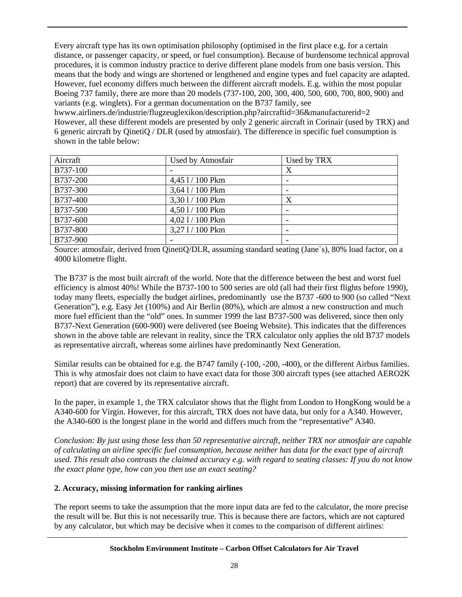Every aircraft type has its own optimisation philosophy (optimised in the first place e.g. for a certain distance, or passenger capacity, or speed, or fuel consumption). Because of burdensome technical approval procedures, it is common industry practice to derive different plane models from one basis version. This means that the body and wings are shortened or lengthened and engine types and fuel capacity are adapted. However, fuel economy differs much between the different aircraft models. E.g. within the most popular Boeing 737 family, there are more than 20 models (737-100, 200, 300, 400, 500, 600, 700, 800, 900) and variants (e.g. winglets). For a german documentation on the B737 family, see

hwww.airliners.de/industrie/flugzeuglexikon/description.php?aircraftid=36&manufacturerid=2 However, all these different models are presented by only 2 generic aircraft in Corinair (used by TRX) and 6 generic aircraft by QinetiQ / DLR (used by atmosfair). The difference in specific fuel consumption is shown in the table below:

| Aircraft | Used by Atmosfair | Used by TRX |
|----------|-------------------|-------------|
| B737-100 |                   |             |
| B737-200 | 4,45 1 / 100 Pkm  |             |
| B737-300 | 3,641/100 Pkm     |             |
| B737-400 | 3,301/100 Pkm     |             |
| B737-500 | 4,501/100 Pkm     |             |
| B737-600 | 4,02 1/100 Pkm    |             |
| B737-800 | 3,271/100 Pkm     |             |
| B737-900 |                   |             |

Source: atmosfair, derived from QinetiQ/DLR, assuming standard seating (Jane`s), 80% load factor, on a 4000 kilometre flight.

The B737 is the most built aircraft of the world. Note that the difference between the best and worst fuel efficiency is almost 40%! While the B737-100 to 500 series are old (all had their first flights before 1990), today many fleets, especially the budget airlines, predominantly use the B737 -600 to 900 (so called "Next Generation"), e.g. Easy Jet (100%) and Air Berlin (80%), which are almost a new construction and much more fuel efficient than the "old" ones. In summer 1999 the last B737-500 was delivered, since then only B737-Next Generation (600-900) were delivered (see Boeing Website). This indicates that the differences shown in the above table are relevant in reality, since the TRX calculator only applies the old B737 models as representative aircraft, whereas some airlines have predominantly Next Generation.

Similar results can be obtained for e.g. the B747 family (-100, -200, -400), or the different Airbus families. This is why atmosfair does not claim to have exact data for those 300 aircraft types (see attached AERO2K report) that are covered by its representative aircraft.

In the paper, in example 1, the TRX calculator shows that the flight from London to HongKong would be a A340-600 for Virgin. However, for this aircraft, TRX does not have data, but only for a A340. However, the A340-600 is the longest plane in the world and differs much from the "representative" A340.

*Conclusion: By just using those less than 50 representative aircraft, neither TRX nor atmosfair are capable of calculating an airline specific fuel consumption, because neither has data for the exact type of aircraft used. This result also contrasts the claimed accuracy e.g. with regard to seating classes: If you do not know the exact plane type, how can you then use an exact seating?* 

#### **2. Accuracy, missing information for ranking airlines**

The report seems to take the assumption that the more input data are fed to the calculator, the more precise the result will be. But this is not necessarily true. This is because there are factors, which are not captured by any calculator, but which may be decisive when it comes to the comparison of different airlines: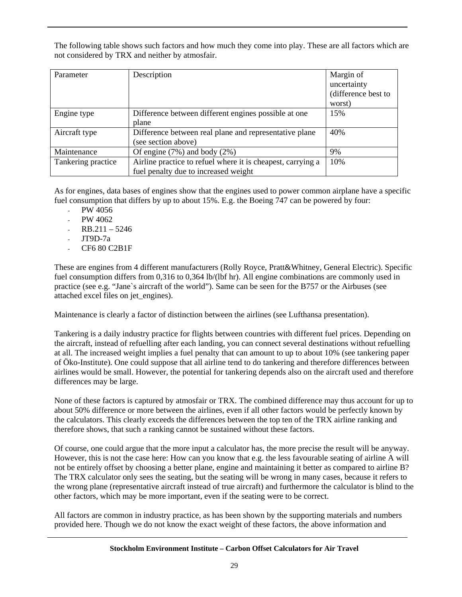The following table shows such factors and how much they come into play. These are all factors which are not considered by TRX and neither by atmosfair.

| Parameter          | Description                                                 | Margin of           |
|--------------------|-------------------------------------------------------------|---------------------|
|                    |                                                             | uncertainty         |
|                    |                                                             | (difference best to |
|                    |                                                             | worst)              |
| Engine type        | Difference between different engines possible at one        | 15%                 |
|                    | plane                                                       |                     |
| Aircraft type      | Difference between real plane and representative plane      | 40%                 |
|                    | (see section above)                                         |                     |
| Maintenance        | Of engine $(7%)$ and body $(2%)$                            | 9%                  |
| Tankering practice | Airline practice to refuel where it is cheapest, carrying a | 10%                 |
|                    | fuel penalty due to increased weight                        |                     |

As for engines, data bases of engines show that the engines used to power common airplane have a specific fuel consumption that differs by up to about 15%. E.g. the Boeing 747 can be powered by four:

- $-$  PW 4056
- $-$  PW 4062
- $RB.211 5246$
- $JT9D-7a$
- CF6 80 C2B1F

These are engines from 4 different manufacturers (Rolly Royce, Pratt&Whitney, General Electric). Specific fuel consumption differs from 0,316 to 0,364 lb/(lbf hr). All engine combinations are commonly used in practice (see e.g. "Jane`s aircraft of the world"). Same can be seen for the B757 or the Airbuses (see attached excel files on jet\_engines).

Maintenance is clearly a factor of distinction between the airlines (see Lufthansa presentation).

Tankering is a daily industry practice for flights between countries with different fuel prices. Depending on the aircraft, instead of refuelling after each landing, you can connect several destinations without refuelling at all. The increased weight implies a fuel penalty that can amount to up to about 10% (see tankering paper of Öko-Institute). One could suppose that all airline tend to do tankering and therefore differences between airlines would be small. However, the potential for tankering depends also on the aircraft used and therefore differences may be large.

None of these factors is captured by atmosfair or TRX. The combined difference may thus account for up to about 50% difference or more between the airlines, even if all other factors would be perfectly known by the calculators. This clearly exceeds the differences between the top ten of the TRX airline ranking and therefore shows, that such a ranking cannot be sustained without these factors.

Of course, one could argue that the more input a calculator has, the more precise the result will be anyway. However, this is not the case here: How can you know that e.g. the less favourable seating of airline A will not be entirely offset by choosing a better plane, engine and maintaining it better as compared to airline B? The TRX calculator only sees the seating, but the seating will be wrong in many cases, because it refers to the wrong plane (representative aircraft instead of true aircraft) and furthermore the calculator is blind to the other factors, which may be more important, even if the seating were to be correct.

All factors are common in industry practice, as has been shown by the supporting materials and numbers provided here. Though we do not know the exact weight of these factors, the above information and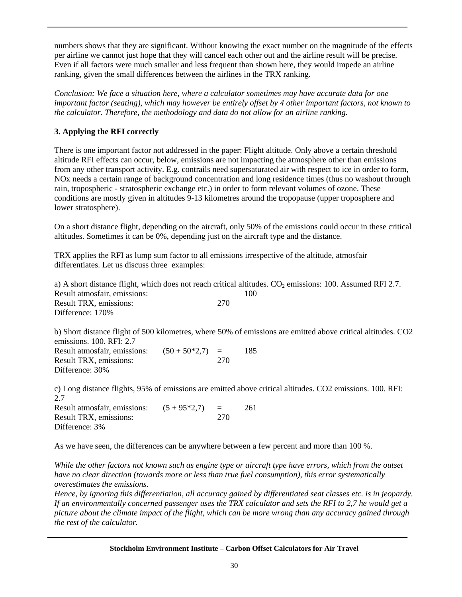numbers shows that they are significant. Without knowing the exact number on the magnitude of the effects per airline we cannot just hope that they will cancel each other out and the airline result will be precise. Even if all factors were much smaller and less frequent than shown here, they would impede an airline ranking, given the small differences between the airlines in the TRX ranking.

*Conclusion: We face a situation here, where a calculator sometimes may have accurate data for one important factor (seating), which may however be entirely offset by 4 other important factors, not known to the calculator. Therefore, the methodology and data do not allow for an airline ranking.* 

#### **3. Applying the RFI correctly**

There is one important factor not addressed in the paper: Flight altitude. Only above a certain threshold altitude RFI effects can occur, below, emissions are not impacting the atmosphere other than emissions from any other transport activity. E.g. contrails need supersaturated air with respect to ice in order to form, NOx needs a certain range of background concentration and long residence times (thus no washout through rain, tropospheric - stratospheric exchange etc.) in order to form relevant volumes of ozone. These conditions are mostly given in altitudes 9-13 kilometres around the tropopause (upper troposphere and lower stratosphere).

On a short distance flight, depending on the aircraft, only 50% of the emissions could occur in these critical altitudes. Sometimes it can be 0%, depending just on the aircraft type and the distance.

TRX applies the RFI as lump sum factor to all emissions irrespective of the altitude, atmosfair differentiates. Let us discuss three examples:

a) A short distance flight, which does not reach critical altitudes.  $CO<sub>2</sub>$  emissions: 100. Assumed RFI 2.7. Result atmosfair, emissions: 100 Result TRX, emissions: 270 Difference: 170%

b) Short distance flight of 500 kilometres, where 50% of emissions are emitted above critical altitudes. CO2 emissions. 100. RFI: 2.7 Result atmosfair, emissions:  $(50 + 50 * 2, 7) = 185$ Result TRX, emissions: 270 Difference: 30%

c) Long distance flights, 95% of emissions are emitted above critical altitudes. CO2 emissions. 100. RFI: 2.7

Result atmosfair, emissions:  $(5 + 95*2,7) = 261$ Result TRX, emissions: 270 Difference: 3%

As we have seen, the differences can be anywhere between a few percent and more than 100 %.

*While the other factors not known such as engine type or aircraft type have errors, which from the outset have no clear direction (towards more or less than true fuel consumption), this error systematically overestimates the emissions.* 

*Hence, by ignoring this differentiation, all accuracy gained by differentiated seat classes etc. is in jeopardy. If an environmentally concerned passenger uses the TRX calculator and sets the RFI to 2,7 he would get a picture about the climate impact of the flight, which can be more wrong than any accuracy gained through the rest of the calculator.*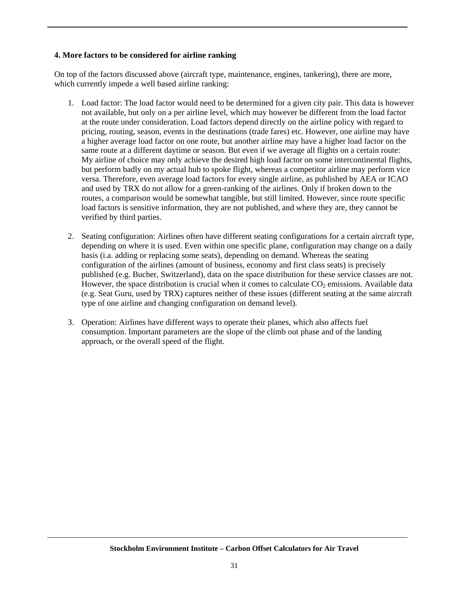#### **4. More factors to be considered for airline ranking**

On top of the factors discussed above (aircraft type, maintenance, engines, tankering), there are more, which currently impede a well based airline ranking:

- 1. Load factor: The load factor would need to be determined for a given city pair. This data is however not available, but only on a per airline level, which may however be different from the load factor at the route under consideration. Load factors depend directly on the airline policy with regard to pricing, routing, season, events in the destinations (trade fares) etc. However, one airline may have a higher average load factor on one route, but another airline may have a higher load factor on the same route at a different daytime or season. But even if we average all flights on a certain route: My airline of choice may only achieve the desired high load factor on some intercontinental flights, but perform badly on my actual hub to spoke flight, whereas a competitor airline may perform vice versa. Therefore, even average load factors for every single airline, as published by AEA or ICAO and used by TRX do not allow for a green-ranking of the airlines. Only if broken down to the routes, a comparison would be somewhat tangible, but still limited. However, since route specific load factors is sensitive information, they are not published, and where they are, they cannot be verified by third parties.
- 2. Seating configuration: Airlines often have different seating configurations for a certain aircraft type, depending on where it is used. Even within one specific plane, configuration may change on a daily basis (i.a. adding or replacing some seats), depending on demand. Whereas the seating configuration of the airlines (amount of business, economy and first class seats) is precisely published (e.g. Bucher, Switzerland), data on the space distribution for these service classes are not. However, the space distribution is crucial when it comes to calculate  $CO<sub>2</sub>$  emissions. Available data (e.g. Seat Guru, used by TRX) captures neither of these issues (different seating at the same aircraft type of one airline and changing configuration on demand level).
- 3. Operation: Airlines have different ways to operate their planes, which also affects fuel consumption. Important parameters are the slope of the climb out phase and of the landing approach, or the overall speed of the flight.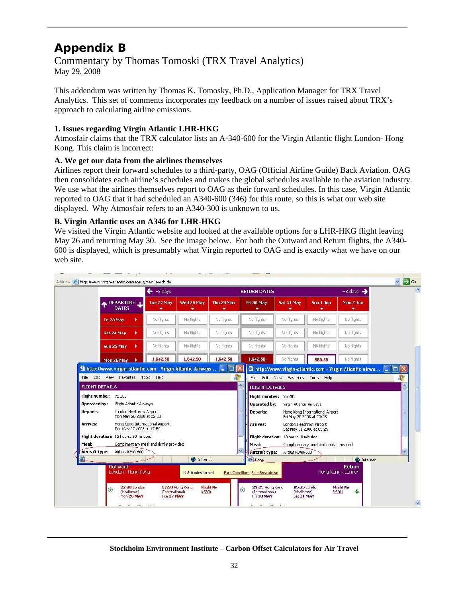# **Appendix B**

Commentary by Thomas Tomoski (TRX Travel Analytics) May 29, 2008

This addendum was written by Thomas K. Tomosky, Ph.D., Application Manager for TRX Travel Analytics. This set of comments incorporates my feedback on a number of issues raised about TRX's approach to calculating airline emissions.

#### **1. Issues regarding Virgin Atlantic LHR-HKG**

Atmosfair claims that the TRX calculator lists an A-340-600 for the Virgin Atlantic flight London- Hong Kong. This claim is incorrect:

#### **A. We get our data from the airlines themselves**

Airlines report their forward schedules to a third-party, OAG (Official Airline Guide) Back Aviation. OAG then consolidates each airline's schedules and makes the global schedules available to the aviation industry. We use what the airlines themselves report to OAG as their forward schedules. In this case, Virgin Atlantic reported to OAG that it had scheduled an A340-600 (346) for this route, so this is what our web site displayed. Why Atmosfair refers to an A340-300 is unknown to us.

#### **B. Virgin Atlantic uses an A346 for LHR-HKG**

We visited the Virgin Atlantic website and looked at the available options for a LHR-HKG flight leaving May 26 and returning May 30. See the image below. For both the Outward and Return flights, the A340- 600 is displayed, which is presumably what Virgin reported to OAG and is exactly what we have on our web site.

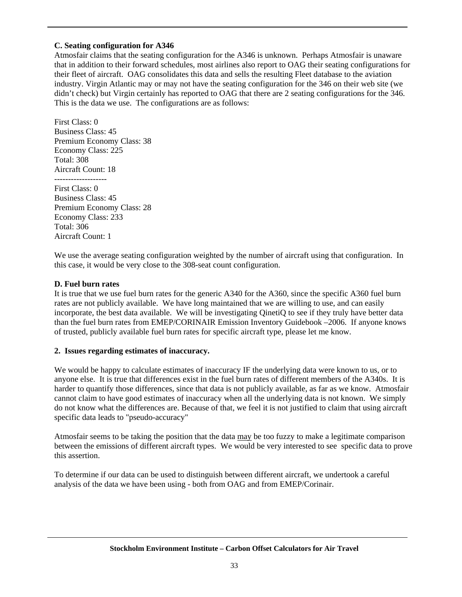#### **C. Seating configuration for A346**

Atmosfair claims that the seating configuration for the A346 is unknown. Perhaps Atmosfair is unaware that in addition to their forward schedules, most airlines also report to OAG their seating configurations for their fleet of aircraft. OAG consolidates this data and sells the resulting Fleet database to the aviation industry. Virgin Atlantic may or may not have the seating configuration for the 346 on their web site (we didn't check) but Virgin certainly has reported to OAG that there are 2 seating configurations for the 346. This is the data we use. The configurations are as follows:

First Class: 0 Business Class: 45 Premium Economy Class: 38 Economy Class: 225 Total: 308 Aircraft Count: 18 ------------------- First Class: 0 Business Class: 45 Premium Economy Class: 28 Economy Class: 233 Total: 306 Aircraft Count: 1

We use the average seating configuration weighted by the number of aircraft using that configuration. In this case, it would be very close to the 308-seat count configuration.

#### **D. Fuel burn rates**

It is true that we use fuel burn rates for the generic A340 for the A360, since the specific A360 fuel burn rates are not publicly available. We have long maintained that we are willing to use, and can easily incorporate, the best data available. We will be investigating QinetiQ to see if they truly have better data than the fuel burn rates from EMEP/CORINAIR Emission Inventory Guidebook –2006. If anyone knows of trusted, publicly available fuel burn rates for specific aircraft type, please let me know.

#### **2. Issues regarding estimates of inaccuracy.**

We would be happy to calculate estimates of inaccuracy IF the underlying data were known to us, or to anyone else. It is true that differences exist in the fuel burn rates of different members of the A340s. It is harder to quantify those differences, since that data is not publicly available, as far as we know. Atmosfair cannot claim to have good estimates of inaccuracy when all the underlying data is not known. We simply do not know what the differences are. Because of that, we feel it is not justified to claim that using aircraft specific data leads to "pseudo-accuracy"

Atmosfair seems to be taking the position that the data may be too fuzzy to make a legitimate comparison between the emissions of different aircraft types. We would be very interested to see specific data to prove this assertion.

To determine if our data can be used to distinguish between different aircraft, we undertook a careful analysis of the data we have been using - both from OAG and from EMEP/Corinair.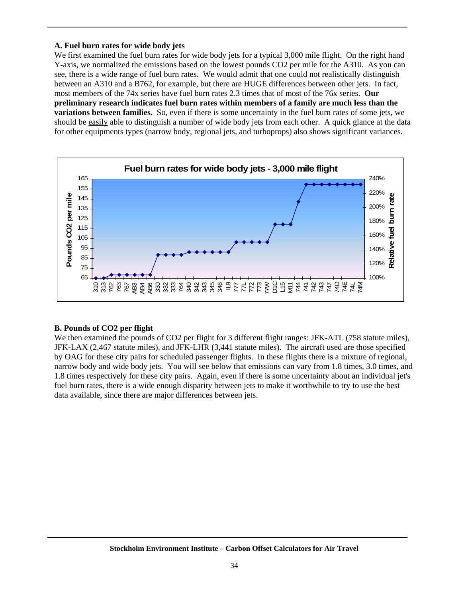#### **A. Fuel burn rates for wide body jets**

We first examined the fuel burn rates for wide body jets for a typical 3,000 mile flight. On the right hand Y-axis, we normalized the emissions based on the lowest pounds CO2 per mile for the A310. As you can see, there is a wide range of fuel burn rates. We would admit that one could not realistically distinguish between an A310 and a B762, for example, but there are HUGE differences between other jets. In fact, most members of the 74x series have fuel burn rates 2.3 times that of most of the 76x series. **Our preliminary research indicates fuel burn rates within members of a family are much less than the variations between families.** So, even if there is some uncertainty in the fuel burn rates of some jets, we should be easily able to distinguish a number of wide body jets from each other. A quick glance at the data for other equipments types (narrow body, regional jets, and turboprops) also shows significant variances.



#### **B. Pounds of CO2 per flight**

We then examined the pounds of CO2 per flight for 3 different flight ranges: JFK-ATL (758 statute miles), JFK-LAX (2,467 statute miles), and JFK-LHR (3,441 statute miles). The aircraft used are those specified by OAG for these city pairs for scheduled passenger flights. In these flights there is a mixture of regional, narrow body and wide body jets. You will see below that emissions can vary from 1.8 times, 3.0 times, and 1.8 times respectively for these city pairs. Again, even if there is some uncertainty about an individual jet's fuel burn rates, there is a wide enough disparity between jets to make it worthwhile to try to use the best data available, since there are major differences between jets.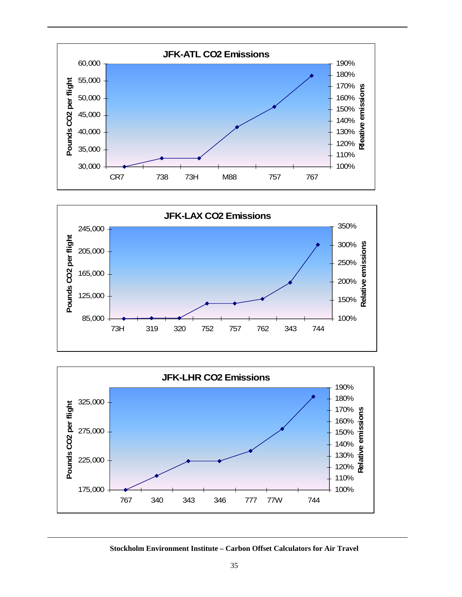





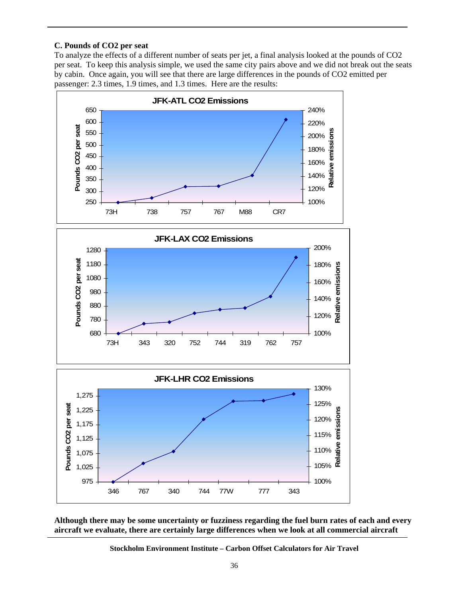#### **C. Pounds of CO2 per seat**

To analyze the effects of a different number of seats per jet, a final analysis looked at the pounds of CO2 per seat. To keep this analysis simple, we used the same city pairs above and we did not break out the seats by cabin. Once again, you will see that there are large differences in the pounds of CO2 emitted per passenger: 2.3 times, 1.9 times, and 1.3 times. Here are the results:



**Although there may be some uncertainty or fuzziness regarding the fuel burn rates of each and every aircraft we evaluate, there are certainly large differences when we look at all commercial aircraft** 

**Stockholm Environment Institute – Carbon Offset Calculators for Air Travel**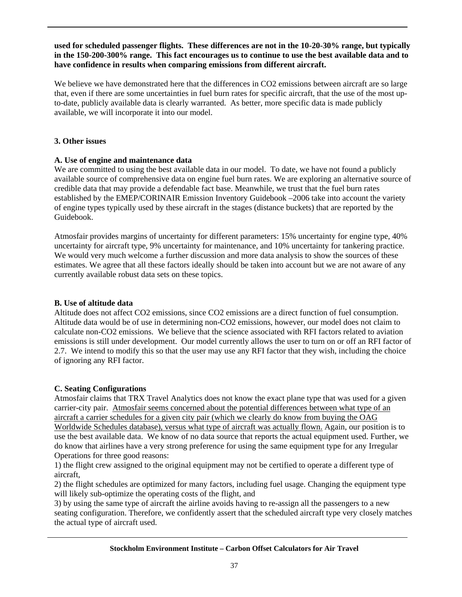#### **used for scheduled passenger flights. These differences are not in the 10-20-30% range, but typically in the 150-200-300% range. This fact encourages us to continue to use the best available data and to have confidence in results when comparing emissions from different aircraft.**

We believe we have demonstrated here that the differences in CO2 emissions between aircraft are so large that, even if there are some uncertainties in fuel burn rates for specific aircraft, that the use of the most upto-date, publicly available data is clearly warranted. As better, more specific data is made publicly available, we will incorporate it into our model.

#### **3. Other issues**

#### **A. Use of engine and maintenance data**

We are committed to using the best available data in our model. To date, we have not found a publicly available source of comprehensive data on engine fuel burn rates. We are exploring an alternative source of credible data that may provide a defendable fact base. Meanwhile, we trust that the fuel burn rates established by the EMEP/CORINAIR Emission Inventory Guidebook –2006 take into account the variety of engine types typically used by these aircraft in the stages (distance buckets) that are reported by the Guidebook.

Atmosfair provides margins of uncertainty for different parameters: 15% uncertainty for engine type, 40% uncertainty for aircraft type, 9% uncertainty for maintenance, and 10% uncertainty for tankering practice. We would very much welcome a further discussion and more data analysis to show the sources of these estimates. We agree that all these factors ideally should be taken into account but we are not aware of any currently available robust data sets on these topics.

#### **B. Use of altitude data**

Altitude does not affect CO2 emissions, since CO2 emissions are a direct function of fuel consumption. Altitude data would be of use in determining non-CO2 emissions, however, our model does not claim to calculate non-CO2 emissions. We believe that the science associated with RFI factors related to aviation emissions is still under development. Our model currently allows the user to turn on or off an RFI factor of 2.7. We intend to modify this so that the user may use any RFI factor that they wish, including the choice of ignoring any RFI factor.

#### **C. Seating Configurations**

Atmosfair claims that TRX Travel Analytics does not know the exact plane type that was used for a given carrier-city pair. Atmosfair seems concerned about the potential differences between what type of an aircraft a carrier schedules for a given city pair (which we clearly do know from buying the OAG Worldwide Schedules database), versus what type of aircraft was actually flown. Again, our position is to use the best available data. We know of no data source that reports the actual equipment used. Further, we do know that airlines have a very strong preference for using the same equipment type for any Irregular Operations for three good reasons:

1) the flight crew assigned to the original equipment may not be certified to operate a different type of aircraft,

2) the flight schedules are optimized for many factors, including fuel usage. Changing the equipment type will likely sub-optimize the operating costs of the flight, and

3) by using the same type of aircraft the airline avoids having to re-assign all the passengers to a new seating configuration. Therefore, we confidently assert that the scheduled aircraft type very closely matches the actual type of aircraft used.